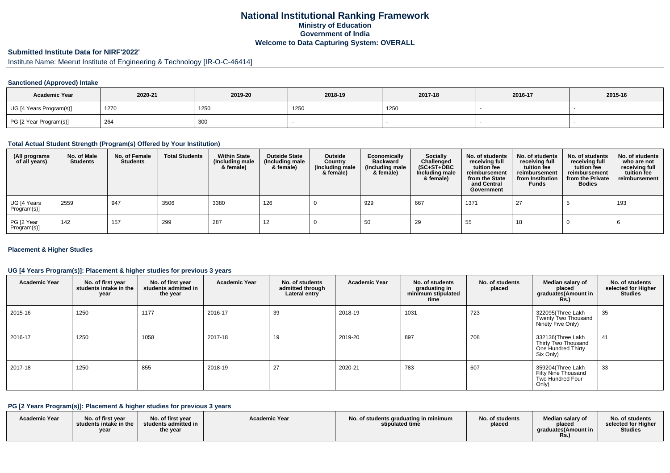# **National Institutional Ranking FrameworkMinistry of Education Government of IndiaWelcome to Data Capturing System: OVERALL**

# **Submitted Institute Data for NIRF'2022'**

# Institute Name: Meerut Institute of Engineering & Technology [IR-O-C-46414]

### **Sanctioned (Approved) Intake**

| <b>Academic Year</b>    | 2020-21 | 2019-20 | 2018-19 | 2017-18 | 2016-17 | 2015-16 |
|-------------------------|---------|---------|---------|---------|---------|---------|
| UG [4 Years Program(s)] | 1270    | 1250    | 1250    | 1250    |         |         |
| PG [2 Year Program(s)]  | 264     | 300     |         |         |         |         |

#### **Total Actual Student Strength (Program(s) Offered by Your Institution)**

| (All programs<br>of all years) | No. of Male<br><b>Students</b> | No. of Female<br><b>Students</b> | <b>Total Students</b> | <b>Within State</b><br>(Including male<br>& female) | <b>Outside State</b><br>(Including male<br>& female) | Outside<br>Country<br>(Including male<br>& female) | Economically<br><b>Backward</b><br>(Including male<br>& female) | Socially<br>Challenged<br>$(SC+ST+OBC)$<br>Including male<br>& female) | No. of students<br>receiving full<br>tuition fee<br>reimbursement<br>from the State<br>and Central<br>Government | No. of students<br>receiving full<br>tuition fee<br>reimbursement<br>from Institution<br><b>Funds</b> | No. of students<br>receiving full<br>tuition fee<br>reimbursement<br>from the Private<br><b>Bodies</b> | No. of students<br>who are not<br>receiving full<br>tuition fee<br>reimbursement |
|--------------------------------|--------------------------------|----------------------------------|-----------------------|-----------------------------------------------------|------------------------------------------------------|----------------------------------------------------|-----------------------------------------------------------------|------------------------------------------------------------------------|------------------------------------------------------------------------------------------------------------------|-------------------------------------------------------------------------------------------------------|--------------------------------------------------------------------------------------------------------|----------------------------------------------------------------------------------|
| UG [4 Years<br>Program(s)]     | 2559                           | 947                              | 3506                  | 3380                                                | 126                                                  |                                                    | 929                                                             | 667                                                                    | 1371                                                                                                             | 27                                                                                                    |                                                                                                        | 193                                                                              |
| PG [2 Year<br>Program(s)]      | 142                            | 157                              | 299                   | 287                                                 | 12                                                   |                                                    | 50                                                              | 29                                                                     | 55                                                                                                               | 18                                                                                                    |                                                                                                        |                                                                                  |

### **Placement & Higher Studies**

### **UG [4 Years Program(s)]: Placement & higher studies for previous 3 years**

| <b>Academic Year</b> | No. of first year<br>students intake in the<br>year | No. of first year<br>students admitted in<br>the year | <b>Academic Year</b> | No. of students<br>admitted through<br>Lateral entry | <b>Academic Year</b> | No. of students<br>graduating in<br>minimum stipulated<br>time | No. of students<br>placed | Median salary of<br>placed<br>graduates(Amount in<br><b>Rs.)</b>            | No. of students<br>selected for Higher<br><b>Studies</b> |
|----------------------|-----------------------------------------------------|-------------------------------------------------------|----------------------|------------------------------------------------------|----------------------|----------------------------------------------------------------|---------------------------|-----------------------------------------------------------------------------|----------------------------------------------------------|
| 2015-16              | 1250                                                | 1177                                                  | 2016-17              | 39                                                   | 2018-19              | 1031                                                           | 723                       | 322095(Three Lakh<br>Twenty Two Thousand<br>Ninety Five Only)               | 35                                                       |
| 2016-17              | 1250                                                | 1058                                                  | 2017-18              | 19                                                   | 2019-20              | 897                                                            | 708                       | 332136(Three Lakh<br>Thirty Two Thousand<br>One Hundred Thirty<br>Six Only) | 41                                                       |
| 2017-18              | 1250                                                | 855                                                   | 2018-19              | 27                                                   | 2020-21              | 783                                                            | 607                       | 359204(Three Lakh<br>Fifty Nine Thousand<br>Two Hundred Four<br>Only)       | 33                                                       |

#### **PG [2 Years Program(s)]: Placement & higher studies for previous 3 years**

| <b>Academic Year</b> | No. of first year<br>students intake in the<br>vear | No. of first year<br>students admitted in<br>the year | <b>Academic Year</b> | No. of students graduating in minimum<br>stipulated time | No. of students<br>placed | Median salary of<br>placed<br>araduates(Amount in<br><b>Rs.</b> ) | No. of students<br>selected for Higher<br><b>Studies</b> |
|----------------------|-----------------------------------------------------|-------------------------------------------------------|----------------------|----------------------------------------------------------|---------------------------|-------------------------------------------------------------------|----------------------------------------------------------|
|----------------------|-----------------------------------------------------|-------------------------------------------------------|----------------------|----------------------------------------------------------|---------------------------|-------------------------------------------------------------------|----------------------------------------------------------|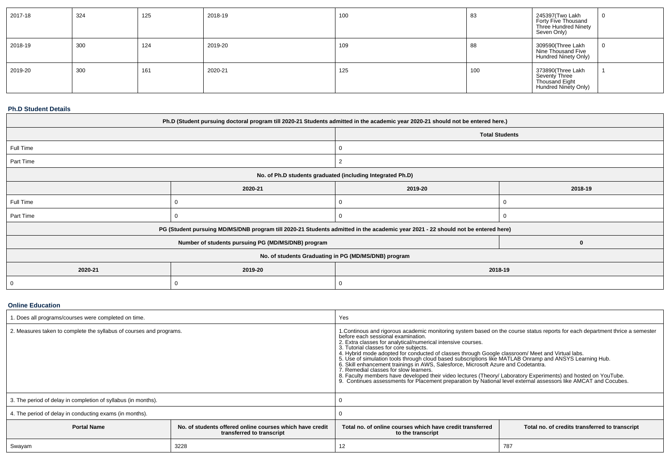| 2017-18 | 324 | 125 | 2018-19 | 100 | 83  | 245397(Two Lakh<br>Forty Five Thousand<br>Three Hundred Ninety<br>Seven Only) |  |
|---------|-----|-----|---------|-----|-----|-------------------------------------------------------------------------------|--|
| 2018-19 | 300 | 124 | 2019-20 | 109 | 88  | 309590(Three Lakh<br>Nine Thousand Five<br><b>Hundred Ninety Only)</b>        |  |
| 2019-20 | 300 | 161 | 2020-21 | 125 | 100 | 373890(Three Lakh<br>Seventy Three<br>Thousand Eight<br>Hundred Ninety Only)  |  |

#### **Ph.D Student Details**

| Ph.D (Student pursuing doctoral program till 2020-21 Students admitted in the academic year 2020-21 should not be entered here.) |                                                                                                                                  |   |                       |  |  |  |
|----------------------------------------------------------------------------------------------------------------------------------|----------------------------------------------------------------------------------------------------------------------------------|---|-----------------------|--|--|--|
|                                                                                                                                  |                                                                                                                                  |   | <b>Total Students</b> |  |  |  |
| Full Time                                                                                                                        |                                                                                                                                  | 0 |                       |  |  |  |
| Part Time                                                                                                                        |                                                                                                                                  |   |                       |  |  |  |
|                                                                                                                                  | No. of Ph.D students graduated (including Integrated Ph.D)                                                                       |   |                       |  |  |  |
|                                                                                                                                  | 2019-20<br>2018-19<br>2020-21                                                                                                    |   |                       |  |  |  |
| Full Time                                                                                                                        |                                                                                                                                  |   |                       |  |  |  |
| Part Time                                                                                                                        |                                                                                                                                  |   |                       |  |  |  |
|                                                                                                                                  | PG (Student pursuing MD/MS/DNB program till 2020-21 Students admitted in the academic year 2021 - 22 should not be entered here) |   |                       |  |  |  |
|                                                                                                                                  | Number of students pursuing PG (MD/MS/DNB) program                                                                               |   | 0                     |  |  |  |
| No. of students Graduating in PG (MD/MS/DNB) program                                                                             |                                                                                                                                  |   |                       |  |  |  |
| 2020-21<br>2019-20<br>2018-19                                                                                                    |                                                                                                                                  |   |                       |  |  |  |
| - 0                                                                                                                              | $\Omega$                                                                                                                         |   |                       |  |  |  |

### **Online Education**

| 1. Does all programs/courses were completed on time.                                                        |  | Yes                                                                                                                                                                                                                                                                                                                                                                                                                                                                                                                                                                                                                                                                                                                                                                                                                                                              |  |  |  |
|-------------------------------------------------------------------------------------------------------------|--|------------------------------------------------------------------------------------------------------------------------------------------------------------------------------------------------------------------------------------------------------------------------------------------------------------------------------------------------------------------------------------------------------------------------------------------------------------------------------------------------------------------------------------------------------------------------------------------------------------------------------------------------------------------------------------------------------------------------------------------------------------------------------------------------------------------------------------------------------------------|--|--|--|
| 2. Measures taken to complete the syllabus of courses and programs.                                         |  | 1. Continous and rigorous academic monitoring system based on the course status reports for each department thrice a semester<br>before each sessional examination.<br>2. Extra classes for analytical/numerical intensive courses.<br>3. Tutorial classes for core subjects.<br>4. Hybrid mode adopted for conducted of classes through Google classroom/ Meet and Virtual labs.<br>5. Use of simulation tools through cloud based subscriptions like MATLAB Onramp and ANSYS Learning Hub.<br>6. Skill enhancement trainings in AWS, Salesforce, Microsoft Azure and Codetantra.<br>7. Remedial classes for slow learners.<br>8. Faculty members have developed their video lectures (Theory/ Laboratory Experiments) and hosted on YouTube.<br>9. Continues assessments for Placement preparation by National level external assessors like AMCAT and Cocubes |  |  |  |
| 3. The period of delay in completion of syllabus (in months).                                               |  |                                                                                                                                                                                                                                                                                                                                                                                                                                                                                                                                                                                                                                                                                                                                                                                                                                                                  |  |  |  |
| 4. The period of delay in conducting exams (in months).                                                     |  |                                                                                                                                                                                                                                                                                                                                                                                                                                                                                                                                                                                                                                                                                                                                                                                                                                                                  |  |  |  |
| No. of students offered online courses which have credit<br><b>Portal Name</b><br>transferred to transcript |  | Total no, of online courses which have credit transferred<br>Total no. of credits transferred to transcript<br>to the transcript                                                                                                                                                                                                                                                                                                                                                                                                                                                                                                                                                                                                                                                                                                                                 |  |  |  |
| 3228<br>Swayam                                                                                              |  | 787<br>12                                                                                                                                                                                                                                                                                                                                                                                                                                                                                                                                                                                                                                                                                                                                                                                                                                                        |  |  |  |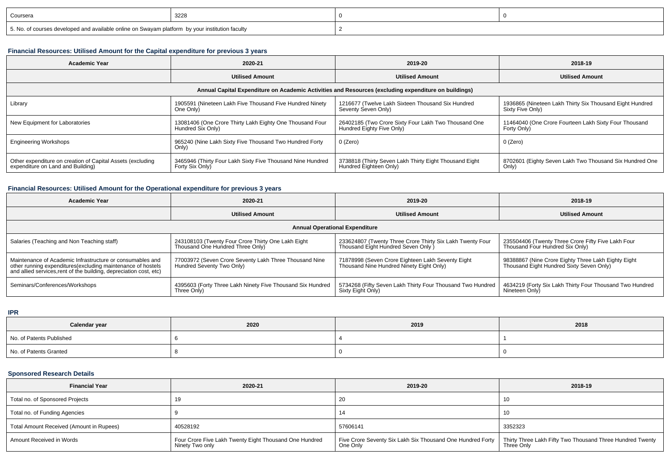| Coursera                                                                                        | 3228 |  |
|-------------------------------------------------------------------------------------------------|------|--|
| 5. No. of courses developed and available online on Swayam platform by your institution faculty |      |  |

### **Financial Resources: Utilised Amount for the Capital expenditure for previous 3 years**

| <b>Academic Year</b>                                                                                 | 2020-21                                                                       | 2019-20                                                                           | 2018-19                                                                      |  |  |  |  |  |
|------------------------------------------------------------------------------------------------------|-------------------------------------------------------------------------------|-----------------------------------------------------------------------------------|------------------------------------------------------------------------------|--|--|--|--|--|
|                                                                                                      | <b>Utilised Amount</b>                                                        | <b>Utilised Amount</b>                                                            | <b>Utilised Amount</b>                                                       |  |  |  |  |  |
| Annual Capital Expenditure on Academic Activities and Resources (excluding expenditure on buildings) |                                                                               |                                                                                   |                                                                              |  |  |  |  |  |
| Library                                                                                              | 1905591 (Nineteen Lakh Five Thousand Five Hundred Ninety<br>One Only)         | 1216677 (Twelve Lakh Sixteen Thousand Six Hundred<br>Seventy Seven Only)          | 1936865 (Nineteen Lakh Thirty Six Thousand Eight Hundred<br>Sixty Five Only) |  |  |  |  |  |
| New Equipment for Laboratories                                                                       | 13081406 (One Crore Thirty Lakh Eighty One Thousand Four<br>Hundred Six Only) | 26402185 (Two Crore Sixty Four Lakh Two Thousand One<br>Hundred Eighty Five Only) | 11464040 (One Crore Fourteen Lakh Sixty Four Thousand<br>Forty Only)         |  |  |  |  |  |
| <b>Engineering Workshops</b>                                                                         | 965240 (Nine Lakh Sixty Five Thousand Two Hundred Forty<br>Only)              | $0$ (Zero)                                                                        | 0 (Zero)                                                                     |  |  |  |  |  |
| Other expenditure on creation of Capital Assets (excluding<br>expenditure on Land and Building)      | 3465946 (Thirty Four Lakh Sixty Five Thousand Nine Hundred<br>Forty Six Only) | 3738818 (Thirty Seven Lakh Thirty Eight Thousand Eight<br>Hundred Eighteen Only)  | 8702601 (Eighty Seven Lakh Two Thousand Six Hundred One<br>Only)             |  |  |  |  |  |

# **Financial Resources: Utilised Amount for the Operational expenditure for previous 3 years**

| <b>Academic Year</b>                                                                                                                                                                            | 2020-21                                                                                | 2019-20                                                                                          | 2018-19                                                                                         |  |  |  |  |  |
|-------------------------------------------------------------------------------------------------------------------------------------------------------------------------------------------------|----------------------------------------------------------------------------------------|--------------------------------------------------------------------------------------------------|-------------------------------------------------------------------------------------------------|--|--|--|--|--|
|                                                                                                                                                                                                 | <b>Utilised Amount</b>                                                                 | <b>Utilised Amount</b>                                                                           | <b>Utilised Amount</b>                                                                          |  |  |  |  |  |
| <b>Annual Operational Expenditure</b>                                                                                                                                                           |                                                                                        |                                                                                                  |                                                                                                 |  |  |  |  |  |
| Salaries (Teaching and Non Teaching staff)                                                                                                                                                      | 243108103 (Twenty Four Crore Thirty One Lakh Eight<br>Thousand One Hundred Three Only) | 233624807 (Twenty Three Crore Thirty Six Lakh Twenty Four<br>Thousand Eight Hundred Seven Only ) | 235504406 (Twenty Three Crore Fifty Five Lakh Four<br>Thousand Four Hundred Six Only)           |  |  |  |  |  |
| Maintenance of Academic Infrastructure or consumables and<br>other running expenditures (excluding maintenance of hostels<br>and allied services, rent of the building, depreciation cost, etc) | 77003972 (Seven Crore Seventy Lakh Three Thousand Nine<br>Hundred Seventy Two Only)    | 71878998 (Seven Crore Eighteen Lakh Seventy Eight<br>Thousand Nine Hundred Ninety Eight Only)    | 98388867 (Nine Crore Eighty Three Lakh Eighty Eight<br>Thousand Eight Hundred Sixty Seven Only) |  |  |  |  |  |
| Seminars/Conferences/Workshops                                                                                                                                                                  | 4395603 (Forty Three Lakh Ninety Five Thousand Six Hundred<br>Three Only)              | 5734268 (Fifty Seven Lakh Thirty Four Thousand Two Hundred<br>Sixty Eight Only)                  | 4634219 (Forty Six Lakh Thirty Four Thousand Two Hundred<br>Nineteen Only)                      |  |  |  |  |  |

**IPR**

| Calendar year            | 2020 | 2019 | 2018 |
|--------------------------|------|------|------|
| No. of Patents Published |      |      |      |
| No. of Patents Granted   |      |      |      |

### **Sponsored Research Details**

| <b>Financial Year</b>                    | 2020-21                                                                   | 2019-20                                                                | 2018-19                                                                 |
|------------------------------------------|---------------------------------------------------------------------------|------------------------------------------------------------------------|-------------------------------------------------------------------------|
| Total no. of Sponsored Projects          |                                                                           | 20                                                                     | 10                                                                      |
| Total no. of Funding Agencies            |                                                                           | 14                                                                     | 10                                                                      |
| Total Amount Received (Amount in Rupees) | 40528192                                                                  | 57606141                                                               | 3352323                                                                 |
| Amount Received in Words                 | Four Crore Five Lakh Twenty Eight Thousand One Hundred<br>Ninety Two only | Five Crore Seventy Six Lakh Six Thousand One Hundred Forty<br>One Only | Thirty Three Lakh Fifty Two Thousand Three Hundred Twenty<br>Three Only |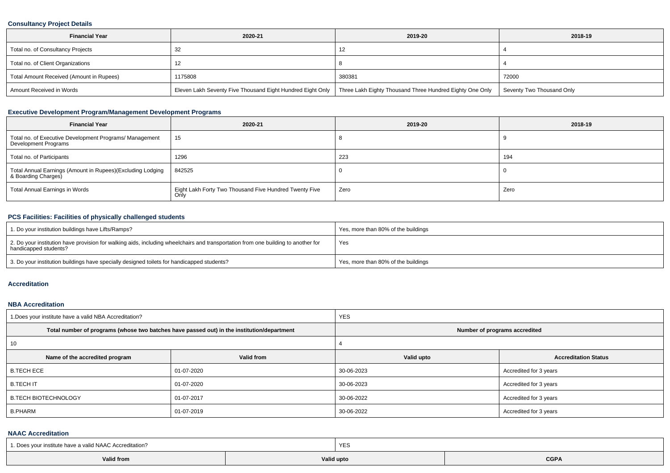### **Consultancy Project Details**

| <b>Financial Year</b>                    | 2020-21                                                    | 2019-20                                                  | 2018-19                   |
|------------------------------------------|------------------------------------------------------------|----------------------------------------------------------|---------------------------|
| Total no. of Consultancy Projects        |                                                            | 14                                                       |                           |
| Total no. of Client Organizations        |                                                            |                                                          |                           |
| Total Amount Received (Amount in Rupees) | 1175808                                                    | 380381                                                   | 72000                     |
| Amount Received in Words                 | Eleven Lakh Seventy Five Thousand Eight Hundred Eight Only | Three Lakh Eighty Thousand Three Hundred Eighty One Only | Seventy Two Thousand Only |

## **Executive Development Program/Management Development Programs**

| <b>Financial Year</b>                                                               | 2020-21                                                        | 2019-20 | 2018-19 |
|-------------------------------------------------------------------------------------|----------------------------------------------------------------|---------|---------|
| Total no. of Executive Development Programs/ Management<br>Development Programs     | 15                                                             |         |         |
| Total no. of Participants                                                           | 1296                                                           | 223     | 194     |
| Total Annual Earnings (Amount in Rupees)(Excluding Lodging<br>  & Boarding Charges) | 842525                                                         |         |         |
| Total Annual Earnings in Words                                                      | Eight Lakh Forty Two Thousand Five Hundred Twenty Five<br>Only | Zero    | Zero    |

## **PCS Facilities: Facilities of physically challenged students**

| 1. Do your institution buildings have Lifts/Ramps?                                                                                                         | Yes, more than 80% of the buildings |
|------------------------------------------------------------------------------------------------------------------------------------------------------------|-------------------------------------|
| 2. Do your institution have provision for walking aids, including wheelchairs and transportation from one building to another for<br>handicapped students? | Yes                                 |
| 3. Do your institution buildings have specially designed toilets for handicapped students?                                                                 | Yes, more than 80% of the buildings |

#### **Accreditation**

#### **NBA Accreditation**

| 1. Does your institute have a valid NBA Accreditation? |                                                                                            | <b>YES</b>                    |                             |  |  |  |
|--------------------------------------------------------|--------------------------------------------------------------------------------------------|-------------------------------|-----------------------------|--|--|--|
|                                                        | Total number of programs (whose two batches have passed out) in the institution/department | Number of programs accredited |                             |  |  |  |
| 10                                                     |                                                                                            |                               |                             |  |  |  |
| Name of the accredited program                         | Valid from                                                                                 | Valid upto                    | <b>Accreditation Status</b> |  |  |  |
| <b>B.TECH ECE</b>                                      | 01-07-2020                                                                                 | 30-06-2023                    | Accredited for 3 years      |  |  |  |
| <b>B.TECHIT</b>                                        | 01-07-2020                                                                                 | 30-06-2023                    | Accredited for 3 years      |  |  |  |
| <b>B.TECH BIOTECHNOLOGY</b>                            | 01-07-2017                                                                                 | 30-06-2022                    | Accredited for 3 years      |  |  |  |
| <b>B.PHARM</b>                                         | 01-07-2019                                                                                 | 30-06-2022                    | Accredited for 3 years      |  |  |  |

### **NAAC Accreditation**

| 1. Does vour institute have a valid NAAC Accreditation? |            | YES |      |  |  |  |
|---------------------------------------------------------|------------|-----|------|--|--|--|
| <b>Valid from</b>                                       | Valid upto |     | CGPA |  |  |  |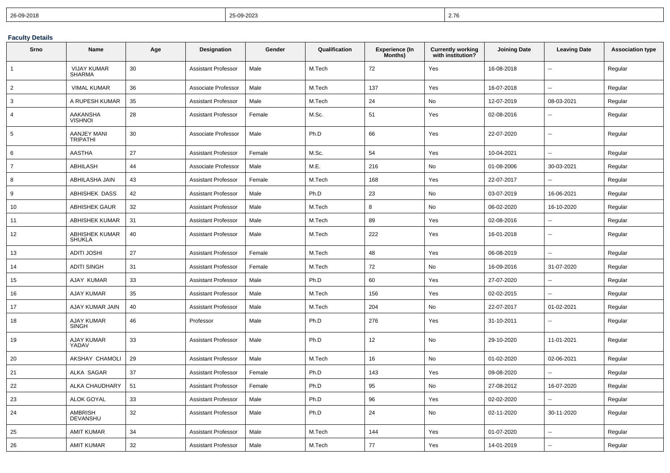| 26-09-2018 | 25-09-2023 | $\sim$ $\sim$<br><u>2.IT</u> |
|------------|------------|------------------------------|
|------------|------------|------------------------------|

## **Faculty Details**

| Srno           | <b>Name</b>                            | Age | Designation                | Gender | Qualification | <b>Experience (In</b><br>Months) | <b>Currently working</b><br>with institution? | <b>Joining Date</b> | <b>Leaving Date</b>      | <b>Association type</b> |
|----------------|----------------------------------------|-----|----------------------------|--------|---------------|----------------------------------|-----------------------------------------------|---------------------|--------------------------|-------------------------|
| $\mathbf{1}$   | <b>VIJAY KUMAR</b><br><b>SHARMA</b>    | 30  | <b>Assistant Professor</b> | Male   | M.Tech        | 72                               | Yes                                           | 16-08-2018          | $\overline{\phantom{a}}$ | Regular                 |
| 2              | <b>VIMAL KUMAR</b>                     | 36  | Associate Professor        | Male   | M.Tech        | 137                              | Yes                                           | 16-07-2018          | Ξ.                       | Regular                 |
| 3              | A RUPESH KUMAR                         | 35  | <b>Assistant Professor</b> | Male   | M.Tech        | 24                               | No                                            | 12-07-2019          | 08-03-2021               | Regular                 |
| $\overline{4}$ | AAKANSHA<br><b>VISHNOI</b>             | 28  | <b>Assistant Professor</b> | Female | M.Sc.         | 51                               | Yes                                           | 02-08-2016          |                          | Regular                 |
| 5              | <b>AANJEY MANI</b><br><b>TRIPATHI</b>  | 30  | Associate Professor        | Male   | Ph.D          | 66                               | Yes                                           | 22-07-2020          | $\overline{a}$           | Regular                 |
| 6              | AASTHA                                 | 27  | <b>Assistant Professor</b> | Female | M.Sc.         | 54                               | Yes                                           | 10-04-2021          |                          | Regular                 |
| $\overline{7}$ | ABHILASH                               | 44  | Associate Professor        | Male   | M.E.          | 216                              | No                                            | 01-08-2006          | 30-03-2021               | Regular                 |
| 8              | ABHILASHA JAIN                         | 43  | <b>Assistant Professor</b> | Female | M.Tech        | 168                              | Yes                                           | 22-07-2017          |                          | Regular                 |
| 9              | <b>ABHISHEK DASS</b>                   | 42  | <b>Assistant Professor</b> | Male   | Ph.D          | 23                               | No                                            | 03-07-2019          | 16-06-2021               | Regular                 |
| 10             | <b>ABHISHEK GAUR</b>                   | 32  | <b>Assistant Professor</b> | Male   | M.Tech        | 8                                | No                                            | 06-02-2020          | 16-10-2020               | Regular                 |
| 11             | <b>ABHISHEK KUMAR</b>                  | 31  | <b>Assistant Professor</b> | Male   | M.Tech        | 89                               | Yes                                           | 02-08-2016          |                          | Regular                 |
| 12             | <b>ABHISHEK KUMAR</b><br><b>SHUKLA</b> | 40  | <b>Assistant Professor</b> | Male   | M.Tech        | 222                              | Yes                                           | 16-01-2018          | $\overline{\phantom{a}}$ | Regular                 |
| 13             | <b>ADITI JOSHI</b>                     | 27  | <b>Assistant Professor</b> | Female | M.Tech        | 48                               | Yes                                           | 06-08-2019          | $\overline{\phantom{a}}$ | Regular                 |
| 14             | <b>ADITI SINGH</b>                     | 31  | <b>Assistant Professor</b> | Female | M.Tech        | 72                               | No                                            | 16-09-2016          | 31-07-2020               | Regular                 |
| 15             | AJAY KUMAR                             | 33  | Assistant Professor        | Male   | Ph.D          | 60                               | Yes                                           | 27-07-2020          | $\overline{\phantom{a}}$ | Regular                 |
| 16             | AJAY KUMAR                             | 35  | <b>Assistant Professor</b> | Male   | M.Tech        | 156                              | Yes                                           | 02-02-2015          |                          | Regular                 |
| 17             | AJAY KUMAR JAIN                        | 40  | <b>Assistant Professor</b> | Male   | M.Tech        | 204                              | No                                            | 22-07-2017          | 01-02-2021               | Regular                 |
| 18             | <b>AJAY KUMAR</b><br><b>SINGH</b>      | 46  | Professor                  | Male   | Ph.D          | 276                              | Yes                                           | 31-10-2011          |                          | Regular                 |
| 19             | AJAY KUMAR<br>YADAV                    | 33  | <b>Assistant Professor</b> | Male   | Ph.D          | 12                               | No                                            | 29-10-2020          | 11-01-2021               | Regular                 |
| 20             | AKSHAY CHAMOLI                         | 29  | <b>Assistant Professor</b> | Male   | M.Tech        | 16                               | No                                            | 01-02-2020          | 02-06-2021               | Regular                 |
| 21             | ALKA SAGAR                             | 37  | <b>Assistant Professor</b> | Female | Ph.D          | 143                              | Yes                                           | 09-08-2020          | $\overline{a}$           | Regular                 |
| 22             | ALKA CHAUDHARY                         | 51  | Assistant Professor        | Female | Ph.D          | 95                               | No                                            | 27-08-2012          | 16-07-2020               | Regular                 |
| 23             | <b>ALOK GOYAL</b>                      | 33  | <b>Assistant Professor</b> | Male   | Ph.D          | 96                               | Yes                                           | 02-02-2020          |                          | Regular                 |
| 24             | <b>AMBRISH</b><br><b>DEVANSHU</b>      | 32  | <b>Assistant Professor</b> | Male   | Ph.D          | 24                               | No                                            | 02-11-2020          | 30-11-2020               | Regular                 |
| 25             | <b>AMIT KUMAR</b>                      | 34  | <b>Assistant Professor</b> | Male   | M.Tech        | 144                              | Yes                                           | 01-07-2020          |                          | Regular                 |
| 26             | <b>AMIT KUMAR</b>                      | 32  | <b>Assistant Professor</b> | Male   | M.Tech        | 77                               | Yes                                           | 14-01-2019          |                          | Regular                 |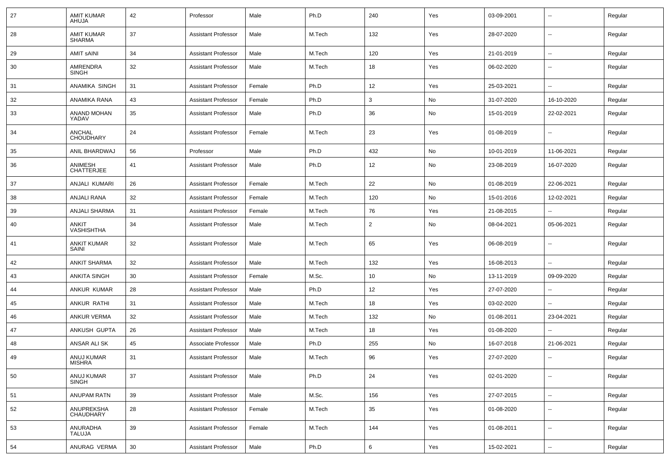| 27 | <b>AMIT KUMAR</b><br>AHUJA         | 42 | Professor                  | Male   | Ph.D   | 240            | Yes | 03-09-2001 | --                       | Regular |
|----|------------------------------------|----|----------------------------|--------|--------|----------------|-----|------------|--------------------------|---------|
| 28 | <b>AMIT KUMAR</b><br><b>SHARMA</b> | 37 | <b>Assistant Professor</b> | Male   | M.Tech | 132            | Yes | 28-07-2020 | $\sim$                   | Regular |
| 29 | <b>AMIT SAINI</b>                  | 34 | <b>Assistant Professor</b> | Male   | M.Tech | 120            | Yes | 21-01-2019 | $\sim$                   | Regular |
| 30 | <b>AMRENDRA</b><br><b>SINGH</b>    | 32 | <b>Assistant Professor</b> | Male   | M.Tech | 18             | Yes | 06-02-2020 | --                       | Regular |
| 31 | ANAMIKA SINGH                      | 31 | <b>Assistant Professor</b> | Female | Ph.D   | 12             | Yes | 25-03-2021 | ۰.                       | Regular |
| 32 | ANAMIKA RANA                       | 43 | <b>Assistant Professor</b> | Female | Ph.D   | 3              | No  | 31-07-2020 | 16-10-2020               | Regular |
| 33 | ANAND MOHAN<br>YADAV               | 35 | <b>Assistant Professor</b> | Male   | Ph.D   | 36             | No  | 15-01-2019 | 22-02-2021               | Regular |
| 34 | ANCHAL<br><b>CHOUDHARY</b>         | 24 | <b>Assistant Professor</b> | Female | M.Tech | 23             | Yes | 01-08-2019 | --                       | Regular |
| 35 | ANIL BHARDWAJ                      | 56 | Professor                  | Male   | Ph.D   | 432            | No  | 10-01-2019 | 11-06-2021               | Regular |
| 36 | ANIMESH<br><b>CHATTERJEE</b>       | 41 | <b>Assistant Professor</b> | Male   | Ph.D   | 12             | No  | 23-08-2019 | 16-07-2020               | Regular |
| 37 | ANJALI KUMARI                      | 26 | <b>Assistant Professor</b> | Female | M.Tech | 22             | No  | 01-08-2019 | 22-06-2021               | Regular |
| 38 | ANJALI RANA                        | 32 | <b>Assistant Professor</b> | Female | M.Tech | 120            | No  | 15-01-2016 | 12-02-2021               | Regular |
| 39 | ANJALI SHARMA                      | 31 | <b>Assistant Professor</b> | Female | M.Tech | 76             | Yes | 21-08-2015 | $\overline{\phantom{a}}$ | Regular |
| 40 | ANKIT<br>VASHISHTHA                | 34 | <b>Assistant Professor</b> | Male   | M.Tech | $\overline{2}$ | No  | 08-04-2021 | 05-06-2021               | Regular |
| 41 | <b>ANKIT KUMAR</b><br>SAINI        | 32 | <b>Assistant Professor</b> | Male   | M.Tech | 65             | Yes | 06-08-2019 | ۰.                       | Regular |
| 42 | <b>ANKIT SHARMA</b>                | 32 | <b>Assistant Professor</b> | Male   | M.Tech | 132            | Yes | 16-08-2013 | ۰.                       | Regular |
| 43 | <b>ANKITA SINGH</b>                | 30 | <b>Assistant Professor</b> | Female | M.Sc.  | 10             | No  | 13-11-2019 | 09-09-2020               | Regular |
| 44 | ANKUR KUMAR                        | 28 | <b>Assistant Professor</b> | Male   | Ph.D   | 12             | Yes | 27-07-2020 |                          | Regular |
| 45 | ANKUR RATHI                        | 31 | <b>Assistant Professor</b> | Male   | M.Tech | 18             | Yes | 03-02-2020 |                          | Regular |
| 46 | <b>ANKUR VERMA</b>                 | 32 | <b>Assistant Professor</b> | Male   | M.Tech | 132            | No  | 01-08-2011 | 23-04-2021               | Regular |
| 47 | ANKUSH GUPTA                       | 26 | <b>Assistant Professor</b> | Male   | M.Tech | 18             | Yes | 01-08-2020 |                          | Regular |
| 48 | ANSAR ALI SK                       | 45 | Associate Professor        | Male   | Ph.D   | 255            | No  | 16-07-2018 | 21-06-2021               | Regular |
| 49 | ANUJ KUMAR<br><b>MISHRA</b>        | 31 | <b>Assistant Professor</b> | Male   | M.Tech | 96             | Yes | 27-07-2020 |                          | Regular |
| 50 | ANUJ KUMAR<br><b>SINGH</b>         | 37 | <b>Assistant Professor</b> | Male   | Ph.D   | 24             | Yes | 02-01-2020 | Ξ.                       | Regular |
| 51 | ANUPAM RATN                        | 39 | <b>Assistant Professor</b> | Male   | M.Sc.  | 156            | Yes | 27-07-2015 | u.                       | Regular |
| 52 | ANUPREKSHA<br><b>CHAUDHARY</b>     | 28 | <b>Assistant Professor</b> | Female | M.Tech | 35             | Yes | 01-08-2020 | $\overline{\phantom{a}}$ | Regular |
| 53 | ANURADHA<br><b>TALUJA</b>          | 39 | <b>Assistant Professor</b> | Female | M.Tech | 144            | Yes | 01-08-2011 | $\overline{\phantom{a}}$ | Regular |
| 54 | ANURAG VERMA                       | 30 | <b>Assistant Professor</b> | Male   | Ph.D   | 6              | Yes | 15-02-2021 | $\overline{\phantom{a}}$ | Regular |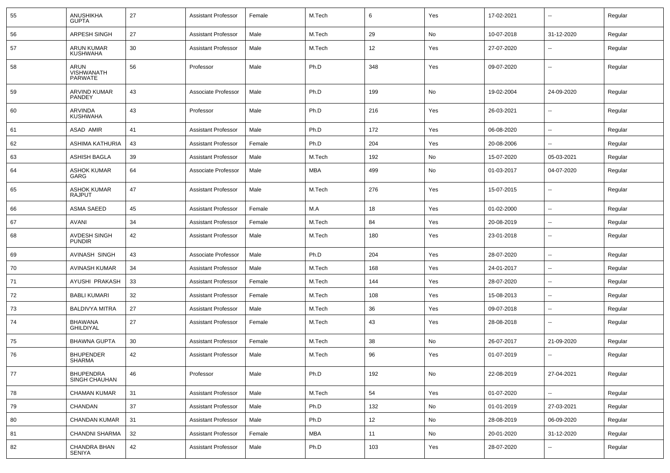| 55 | ANUSHIKHA<br><b>GUPTA</b>                   | 27 | <b>Assistant Professor</b> | Female | M.Tech     | 6   | Yes | 17-02-2021 | $\overline{\phantom{a}}$ | Regular |
|----|---------------------------------------------|----|----------------------------|--------|------------|-----|-----|------------|--------------------------|---------|
| 56 | <b>ARPESH SINGH</b>                         | 27 | <b>Assistant Professor</b> | Male   | M.Tech     | 29  | No  | 10-07-2018 | 31-12-2020               | Regular |
| 57 | ARUN KUMAR<br><b>KUSHWAHA</b>               | 30 | <b>Assistant Professor</b> | Male   | M.Tech     | 12  | Yes | 27-07-2020 | $\overline{\phantom{a}}$ | Regular |
| 58 | <b>ARUN</b><br>VISHWANATH<br><b>PARWATE</b> | 56 | Professor                  | Male   | Ph.D       | 348 | Yes | 09-07-2020 | --                       | Regular |
| 59 | ARVIND KUMAR<br>PANDEY                      | 43 | Associate Professor        | Male   | Ph.D       | 199 | No  | 19-02-2004 | 24-09-2020               | Regular |
| 60 | ARVINDA<br><b>KUSHWAHA</b>                  | 43 | Professor                  | Male   | Ph.D       | 216 | Yes | 26-03-2021 | $\overline{\phantom{a}}$ | Regular |
| 61 | ASAD AMIR                                   | 41 | <b>Assistant Professor</b> | Male   | Ph.D       | 172 | Yes | 06-08-2020 | ⊷.                       | Regular |
| 62 | ASHIMA KATHURIA                             | 43 | <b>Assistant Professor</b> | Female | Ph.D       | 204 | Yes | 20-08-2006 | $\overline{\phantom{a}}$ | Regular |
| 63 | ASHISH BAGLA                                | 39 | <b>Assistant Professor</b> | Male   | M.Tech     | 192 | No  | 15-07-2020 | 05-03-2021               | Regular |
| 64 | <b>ASHOK KUMAR</b><br>GARG                  | 64 | Associate Professor        | Male   | MBA        | 499 | No  | 01-03-2017 | 04-07-2020               | Regular |
| 65 | <b>ASHOK KUMAR</b><br><b>RAJPUT</b>         | 47 | <b>Assistant Professor</b> | Male   | M.Tech     | 276 | Yes | 15-07-2015 | -−                       | Regular |
| 66 | <b>ASMA SAEED</b>                           | 45 | <b>Assistant Professor</b> | Female | M.A        | 18  | Yes | 01-02-2000 | --                       | Regular |
| 67 | <b>AVANI</b>                                | 34 | <b>Assistant Professor</b> | Female | M.Tech     | 84  | Yes | 20-08-2019 | --                       | Regular |
| 68 | <b>AVDESH SINGH</b><br><b>PUNDIR</b>        | 42 | <b>Assistant Professor</b> | Male   | M.Tech     | 180 | Yes | 23-01-2018 | $\overline{\phantom{a}}$ | Regular |
| 69 | AVINASH SINGH                               | 43 | Associate Professor        | Male   | Ph.D       | 204 | Yes | 28-07-2020 | $\overline{\phantom{a}}$ | Regular |
| 70 | <b>AVINASH KUMAR</b>                        | 34 | <b>Assistant Professor</b> | Male   | M.Tech     | 168 | Yes | 24-01-2017 | н.                       | Regular |
| 71 | AYUSHI PRAKASH                              | 33 | <b>Assistant Professor</b> | Female | M.Tech     | 144 | Yes | 28-07-2020 | $\overline{\phantom{a}}$ | Regular |
| 72 | <b>BABLI KUMARI</b>                         | 32 | <b>Assistant Professor</b> | Female | M.Tech     | 108 | Yes | 15-08-2013 | --                       | Regular |
| 73 | <b>BALDIVYA MITRA</b>                       | 27 | <b>Assistant Professor</b> | Male   | M.Tech     | 36  | Yes | 09-07-2018 | --                       | Regular |
| 74 | <b>BHAWANA</b><br><b>GHILDIYAL</b>          | 27 | <b>Assistant Professor</b> | Female | M.Tech     | 43  | Yes | 28-08-2018 | $\overline{a}$           | Regular |
| 75 | <b>BHAWNA GUPTA</b>                         | 30 | <b>Assistant Professor</b> | Female | M.Tech     | 38  | No  | 26-07-2017 | 21-09-2020               | Regular |
| 76 | <b>BHUPENDER</b><br><b>SHARMA</b>           | 42 | <b>Assistant Professor</b> | Male   | M.Tech     | 96  | Yes | 01-07-2019 | $\overline{\phantom{a}}$ | Regular |
| 77 | <b>BHUPENDRA</b><br>SINGH CHAUHAN           | 46 | Professor                  | Male   | Ph.D       | 192 | No  | 22-08-2019 | 27-04-2021               | Regular |
| 78 | <b>CHAMAN KUMAR</b>                         | 31 | <b>Assistant Professor</b> | Male   | M.Tech     | 54  | Yes | 01-07-2020 | н.                       | Regular |
| 79 | CHANDAN                                     | 37 | <b>Assistant Professor</b> | Male   | Ph.D       | 132 | No  | 01-01-2019 | 27-03-2021               | Regular |
| 80 | CHANDAN KUMAR                               | 31 | <b>Assistant Professor</b> | Male   | Ph.D       | 12  | No  | 28-08-2019 | 06-09-2020               | Regular |
| 81 | <b>CHANDNI SHARMA</b>                       | 32 | <b>Assistant Professor</b> | Female | <b>MBA</b> | 11  | No  | 20-01-2020 | 31-12-2020               | Regular |
| 82 | CHANDRA BHAN<br>SENIYA                      | 42 | <b>Assistant Professor</b> | Male   | Ph.D       | 103 | Yes | 28-07-2020 | --                       | Regular |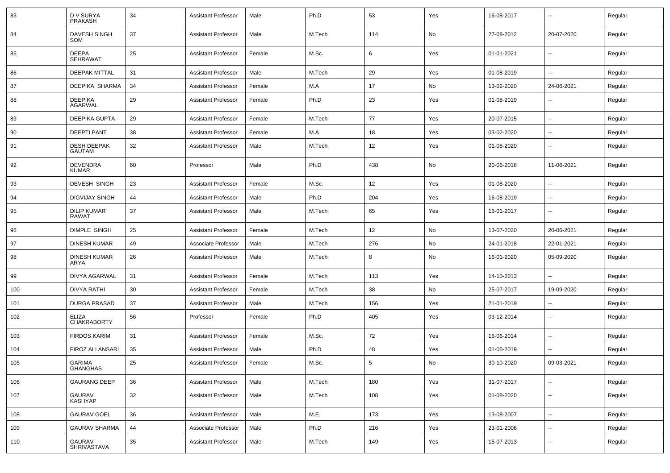| 83  | D V SURYA<br>PRAKASH                | 34 | <b>Assistant Professor</b> | Male   | Ph.D   | 53  | Yes | 16-08-2017 | $\overline{\phantom{a}}$ | Regular |
|-----|-------------------------------------|----|----------------------------|--------|--------|-----|-----|------------|--------------------------|---------|
| 84  | <b>DAVESH SINGH</b><br>SOM          | 37 | <b>Assistant Professor</b> | Male   | M.Tech | 114 | No  | 27-08-2012 | 20-07-2020               | Regular |
| 85  | <b>DEEPA</b><br><b>SEHRAWAT</b>     | 25 | <b>Assistant Professor</b> | Female | M.Sc.  | 6   | Yes | 01-01-2021 | ⊷.                       | Regular |
| 86  | <b>DEEPAK MITTAL</b>                | 31 | <b>Assistant Professor</b> | Male   | M.Tech | 29  | Yes | 01-08-2019 | ⊷.                       | Regular |
| 87  | DEEPIKA SHARMA                      | 34 | <b>Assistant Professor</b> | Female | M.A    | 17  | No  | 13-02-2020 | 24-06-2021               | Regular |
| 88  | <b>DEEPIKA</b><br>AGARWAL           | 29 | <b>Assistant Professor</b> | Female | Ph.D   | 23  | Yes | 01-08-2019 | --                       | Regular |
| 89  | <b>DEEPIKA GUPTA</b>                | 29 | <b>Assistant Professor</b> | Female | M.Tech | 77  | Yes | 20-07-2015 | $\overline{\phantom{a}}$ | Regular |
| 90  | <b>DEEPTI PANT</b>                  | 38 | <b>Assistant Professor</b> | Female | M.A    | 18  | Yes | 03-02-2020 | $\overline{\phantom{a}}$ | Regular |
| 91  | <b>DESH DEEPAK</b><br><b>GAUTAM</b> | 32 | <b>Assistant Professor</b> | Male   | M.Tech | 12  | Yes | 01-08-2020 | $\overline{\phantom{a}}$ | Regular |
| 92  | <b>DEVENDRA</b><br>KUMAR            | 60 | Professor                  | Male   | Ph.D   | 438 | No  | 20-06-2018 | 11-06-2021               | Regular |
| 93  | DEVESH SINGH                        | 23 | <b>Assistant Professor</b> | Female | M.Sc.  | 12  | Yes | 01-08-2020 | $\mathbf{u}$             | Regular |
| 94  | <b>DIGVIJAY SINGH</b>               | 44 | <b>Assistant Professor</b> | Male   | Ph.D   | 204 | Yes | 16-08-2019 | $\overline{\phantom{a}}$ | Regular |
| 95  | <b>DILIP KUMAR</b><br>RAWAT         | 37 | <b>Assistant Professor</b> | Male   | M.Tech | 65  | Yes | 16-01-2017 | $\overline{\phantom{a}}$ | Regular |
| 96  | <b>DIMPLE SINGH</b>                 | 25 | <b>Assistant Professor</b> | Female | M.Tech | 12  | No  | 13-07-2020 | 20-06-2021               | Regular |
| 97  | <b>DINESH KUMAR</b>                 | 49 | Associate Professor        | Male   | M.Tech | 276 | No  | 24-01-2018 | 22-01-2021               | Regular |
| 98  | <b>DINESH KUMAR</b><br>ARYA         | 26 | <b>Assistant Professor</b> | Male   | M.Tech | 8   | No  | 16-01-2020 | 05-09-2020               | Regular |
| 99  | <b>DIVYA AGARWAL</b>                | 31 | <b>Assistant Professor</b> | Female | M.Tech | 113 | Yes | 14-10-2013 | --                       | Regular |
| 100 | DIVYA RATHI                         | 30 | <b>Assistant Professor</b> | Female | M.Tech | 38  | No  | 25-07-2017 | 19-09-2020               | Regular |
| 101 | <b>DURGA PRASAD</b>                 | 37 | <b>Assistant Professor</b> | Male   | M.Tech | 156 | Yes | 21-01-2019 | --                       | Regular |
| 102 | ELIZA<br><b>CHAKRABORTY</b>         | 56 | Professor                  | Female | Ph.D   | 405 | Yes | 03-12-2014 | ⊷.                       | Regular |
| 103 | <b>FIRDOS KARIM</b>                 | 31 | <b>Assistant Professor</b> | Female | M.Sc.  | 72  | Yes | 16-06-2014 | $\overline{\phantom{a}}$ | Regular |
| 104 | FIROZ ALI ANSARI                    | 35 | <b>Assistant Professor</b> | Male   | Ph.D   | 48  | Yes | 01-05-2019 | -−                       | Regular |
| 105 | <b>GARIMA</b><br><b>GHANGHAS</b>    | 25 | <b>Assistant Professor</b> | Female | M.Sc.  | 5   | No  | 30-10-2020 | 09-03-2021               | Regular |
| 106 | <b>GAURANG DEEP</b>                 | 36 | <b>Assistant Professor</b> | Male   | M.Tech | 180 | Yes | 31-07-2017 | Ξ.                       | Regular |
| 107 | <b>GAURAV</b><br>KASHYAP            | 32 | <b>Assistant Professor</b> | Male   | M.Tech | 108 | Yes | 01-08-2020 | $\overline{\phantom{a}}$ | Regular |
| 108 | <b>GAURAV GOEL</b>                  | 36 | <b>Assistant Professor</b> | Male   | M.E.   | 173 | Yes | 13-08-2007 | $\overline{\phantom{a}}$ | Regular |
| 109 | <b>GAURAV SHARMA</b>                | 44 | Associate Professor        | Male   | Ph.D   | 216 | Yes | 23-01-2006 | -−                       | Regular |
| 110 | <b>GAURAV</b><br>SHRIVASTAVA        | 35 | <b>Assistant Professor</b> | Male   | M.Tech | 149 | Yes | 15-07-2013 | ⊷.                       | Regular |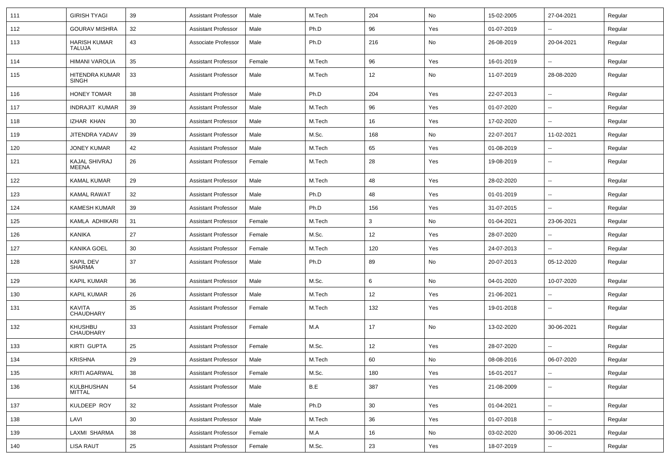| 111 | <b>GIRISH TYAGI</b>               | 39 | <b>Assistant Professor</b> | Male   | M.Tech | 204 | No  | 15-02-2005 | 27-04-2021               | Regular |
|-----|-----------------------------------|----|----------------------------|--------|--------|-----|-----|------------|--------------------------|---------|
| 112 | <b>GOURAV MISHRA</b>              | 32 | <b>Assistant Professor</b> | Male   | Ph.D   | 96  | Yes | 01-07-2019 | --                       | Regular |
| 113 | <b>HARISH KUMAR</b><br>TALUJA     | 43 | Associate Professor        | Male   | Ph.D   | 216 | No  | 26-08-2019 | 20-04-2021               | Regular |
| 114 | HIMANI VAROLIA                    | 35 | <b>Assistant Professor</b> | Female | M.Tech | 96  | Yes | 16-01-2019 | --                       | Regular |
| 115 | HITENDRA KUMAR<br>SINGH           | 33 | <b>Assistant Professor</b> | Male   | M.Tech | 12  | No  | 11-07-2019 | 28-08-2020               | Regular |
| 116 | <b>HONEY TOMAR</b>                | 38 | <b>Assistant Professor</b> | Male   | Ph.D   | 204 | Yes | 22-07-2013 |                          | Regular |
| 117 | <b>INDRAJIT KUMAR</b>             | 39 | <b>Assistant Professor</b> | Male   | M.Tech | 96  | Yes | 01-07-2020 | $\overline{\phantom{a}}$ | Regular |
| 118 | IZHAR KHAN                        | 30 | <b>Assistant Professor</b> | Male   | M.Tech | 16  | Yes | 17-02-2020 | ⊷.                       | Regular |
| 119 | JITENDRA YADAV                    | 39 | <b>Assistant Professor</b> | Male   | M.Sc.  | 168 | No  | 22-07-2017 | 11-02-2021               | Regular |
| 120 | <b>JONEY KUMAR</b>                | 42 | <b>Assistant Professor</b> | Male   | M.Tech | 65  | Yes | 01-08-2019 | $\overline{\phantom{a}}$ | Regular |
| 121 | <b>KAJAL SHIVRAJ</b><br>MEENA     | 26 | <b>Assistant Professor</b> | Female | M.Tech | 28  | Yes | 19-08-2019 | --                       | Regular |
| 122 | <b>KAMAL KUMAR</b>                | 29 | <b>Assistant Professor</b> | Male   | M.Tech | 48  | Yes | 28-02-2020 | $\overline{\phantom{a}}$ | Regular |
| 123 | <b>KAMAL RAWAT</b>                | 32 | <b>Assistant Professor</b> | Male   | Ph.D   | 48  | Yes | 01-01-2019 | --                       | Regular |
| 124 | <b>KAMESH KUMAR</b>               | 39 | <b>Assistant Professor</b> | Male   | Ph.D   | 156 | Yes | 31-07-2015 | $\overline{a}$           | Regular |
| 125 | KAMLA ADHIKARI                    | 31 | <b>Assistant Professor</b> | Female | M.Tech | 3   | No  | 01-04-2021 | 23-06-2021               | Regular |
| 126 | <b>KANIKA</b>                     | 27 | <b>Assistant Professor</b> | Female | M.Sc.  | 12  | Yes | 28-07-2020 |                          | Regular |
| 127 | <b>KANIKA GOEL</b>                | 30 | <b>Assistant Professor</b> | Female | M.Tech | 120 | Yes | 24-07-2013 | -−                       | Regular |
| 128 | <b>KAPIL DEV</b><br><b>SHARMA</b> | 37 | <b>Assistant Professor</b> | Male   | Ph.D   | 89  | No  | 20-07-2013 | 05-12-2020               | Regular |
| 129 | <b>KAPIL KUMAR</b>                | 36 | <b>Assistant Professor</b> | Male   | M.Sc.  | 6   | No  | 04-01-2020 | 10-07-2020               | Regular |
| 130 | <b>KAPIL KUMAR</b>                | 26 | <b>Assistant Professor</b> | Male   | M.Tech | 12  | Yes | 21-06-2021 |                          | Regular |
| 131 | <b>KAVITA</b><br>CHAUDHARY        | 35 | <b>Assistant Professor</b> | Female | M.Tech | 132 | Yes | 19-01-2018 | $\overline{\phantom{a}}$ | Regular |
| 132 | KHUSHBU<br>CHAUDHARY              | 33 | <b>Assistant Professor</b> | Female | M.A    | 17  | No  | 13-02-2020 | 30-06-2021               | Regular |
| 133 | KIRTI GUPTA                       | 25 | <b>Assistant Professor</b> | Female | M.Sc.  | 12  | Yes | 28-07-2020 | -−                       | Regular |
| 134 | <b>KRISHNA</b>                    | 29 | <b>Assistant Professor</b> | Male   | M.Tech | 60  | No  | 08-08-2016 | 06-07-2020               | Regular |
| 135 | <b>KRITI AGARWAL</b>              | 38 | <b>Assistant Professor</b> | Female | M.Sc.  | 180 | Yes | 16-01-2017 | $\overline{\phantom{a}}$ | Regular |
| 136 | KULBHUSHAN<br>MITTAL              | 54 | <b>Assistant Professor</b> | Male   | B.E    | 387 | Yes | 21-08-2009 | $\overline{\phantom{a}}$ | Regular |
| 137 | KULDEEP ROY                       | 32 | <b>Assistant Professor</b> | Male   | Ph.D   | 30  | Yes | 01-04-2021 | $\sim$                   | Regular |
| 138 | LAVI                              | 30 | <b>Assistant Professor</b> | Male   | M.Tech | 36  | Yes | 01-07-2018 | $\sim$                   | Regular |
| 139 | LAXMI SHARMA                      | 38 | <b>Assistant Professor</b> | Female | M.A    | 16  | No  | 03-02-2020 | 30-06-2021               | Regular |
| 140 | <b>LISA RAUT</b>                  | 25 | <b>Assistant Professor</b> | Female | M.Sc.  | 23  | Yes | 18-07-2019 | Щ,                       | Regular |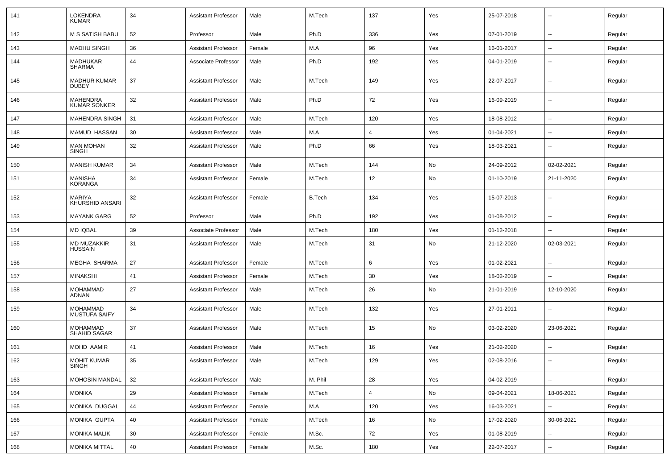| 141 | <b>LOKENDRA</b><br><b>KUMAR</b>         | 34 | <b>Assistant Professor</b> | Male   | M.Tech        | 137            | Yes | 25-07-2018 | ۰.                       | Regular |
|-----|-----------------------------------------|----|----------------------------|--------|---------------|----------------|-----|------------|--------------------------|---------|
| 142 | M S SATISH BABU                         | 52 | Professor                  | Male   | Ph.D          | 336            | Yes | 07-01-2019 | ⊷.                       | Regular |
| 143 | <b>MADHU SINGH</b>                      | 36 | <b>Assistant Professor</b> | Female | M.A           | 96             | Yes | 16-01-2017 | ۰.                       | Regular |
| 144 | <b>MADHUKAR</b><br><b>SHARMA</b>        | 44 | Associate Professor        | Male   | Ph.D          | 192            | Yes | 04-01-2019 | ۰.                       | Regular |
| 145 | <b>MADHUR KUMAR</b><br><b>DUBEY</b>     | 37 | <b>Assistant Professor</b> | Male   | M.Tech        | 149            | Yes | 22-07-2017 | --                       | Regular |
| 146 | MAHENDRA<br><b>KUMAR SONKER</b>         | 32 | <b>Assistant Professor</b> | Male   | Ph.D          | 72             | Yes | 16-09-2019 | --                       | Regular |
| 147 | <b>MAHENDRA SINGH</b>                   | 31 | <b>Assistant Professor</b> | Male   | M.Tech        | 120            | Yes | 18-08-2012 | --                       | Regular |
| 148 | <b>MAMUD HASSAN</b>                     | 30 | <b>Assistant Professor</b> | Male   | M.A           | $\overline{4}$ | Yes | 01-04-2021 | --                       | Regular |
| 149 | <b>MAN MOHAN</b><br><b>SINGH</b>        | 32 | <b>Assistant Professor</b> | Male   | Ph.D          | 66             | Yes | 18-03-2021 | $\overline{\phantom{a}}$ | Regular |
| 150 | <b>MANISH KUMAR</b>                     | 34 | <b>Assistant Professor</b> | Male   | M.Tech        | 144            | No  | 24-09-2012 | 02-02-2021               | Regular |
| 151 | <b>MANISHA</b><br><b>KORANGA</b>        | 34 | <b>Assistant Professor</b> | Female | M.Tech        | 12             | No  | 01-10-2019 | 21-11-2020               | Regular |
| 152 | <b>MARIYA</b><br><b>KHURSHID ANSARI</b> | 32 | <b>Assistant Professor</b> | Female | <b>B.Tech</b> | 134            | Yes | 15-07-2013 | $\overline{\phantom{a}}$ | Regular |
| 153 | <b>MAYANK GARG</b>                      | 52 | Professor                  | Male   | Ph.D          | 192            | Yes | 01-08-2012 | $\sim$                   | Regular |
| 154 | <b>MD IQBAL</b>                         | 39 | Associate Professor        | Male   | M.Tech        | 180            | Yes | 01-12-2018 | $\overline{\phantom{a}}$ | Regular |
| 155 | MD MUZAKKIR<br><b>HUSSAIN</b>           | 31 | Assistant Professor        | Male   | M.Tech        | 31             | No  | 21-12-2020 | 02-03-2021               | Regular |
| 156 | MEGHA SHARMA                            | 27 | Assistant Professor        | Female | M.Tech        | 6              | Yes | 01-02-2021 | $\overline{\phantom{a}}$ | Regular |
| 157 | <b>MINAKSHI</b>                         | 41 | <b>Assistant Professor</b> | Female | M.Tech        | 30             | Yes | 18-02-2019 | --                       | Regular |
| 158 | <b>MOHAMMAD</b><br>ADNAN                | 27 | <b>Assistant Professor</b> | Male   | M.Tech        | 26             | No  | 21-01-2019 | 12-10-2020               | Regular |
| 159 | <b>MOHAMMAD</b><br><b>MUSTUFA SAIFY</b> | 34 | <b>Assistant Professor</b> | Male   | M.Tech        | 132            | Yes | 27-01-2011 | --                       | Regular |
| 160 | <b>MOHAMMAD</b><br>SHAHID SAGAR         | 37 | <b>Assistant Professor</b> | Male   | M.Tech        | 15             | No  | 03-02-2020 | 23-06-2021               | Regular |
| 161 | MOHD AAMIR                              | 41 | <b>Assistant Professor</b> | Male   | M.Tech        | 16             | Yes | 21-02-2020 | $\overline{a}$           | Regular |
| 162 | <b>MOHIT KUMAR</b><br>SINGH             | 35 | <b>Assistant Professor</b> | Male   | M.Tech        | 129            | Yes | 02-08-2016 | $\overline{\phantom{a}}$ | Regular |
| 163 | MOHOSIN MANDAL                          | 32 | <b>Assistant Professor</b> | Male   | M. Phil       | 28             | Yes | 04-02-2019 | $\sim$                   | Regular |
| 164 | <b>MONIKA</b>                           | 29 | <b>Assistant Professor</b> | Female | M.Tech        | 4              | No  | 09-04-2021 | 18-06-2021               | Regular |
| 165 | MONIKA DUGGAL                           | 44 | <b>Assistant Professor</b> | Female | M.A           | 120            | Yes | 16-03-2021 | н.                       | Regular |
| 166 | MONIKA GUPTA                            | 40 | <b>Assistant Professor</b> | Female | M.Tech        | 16             | No  | 17-02-2020 | 30-06-2021               | Regular |
| 167 | <b>MONIKA MALIK</b>                     | 30 | <b>Assistant Professor</b> | Female | M.Sc.         | 72             | Yes | 01-08-2019 | --                       | Regular |
| 168 | <b>MONIKA MITTAL</b>                    | 40 | <b>Assistant Professor</b> | Female | M.Sc.         | 180            | Yes | 22-07-2017 | ⊷.                       | Regular |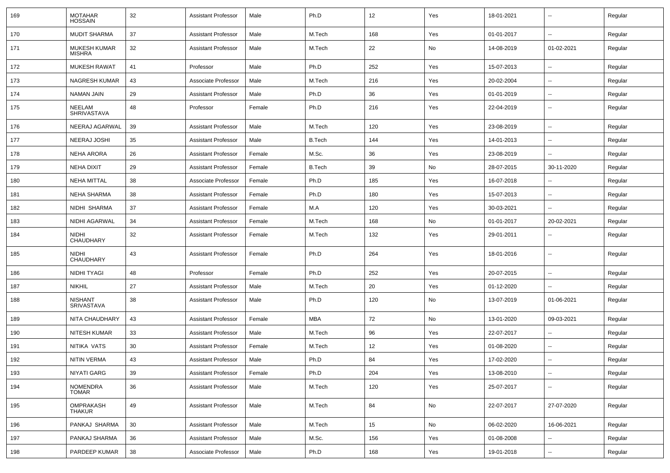| 169 | <b>MOTAHAR</b><br><b>HOSSAIN</b>     | 32 | <b>Assistant Professor</b> | Male   | Ph.D          | 12  | Yes | 18-01-2021 | $\overline{\phantom{a}}$ | Regular |
|-----|--------------------------------------|----|----------------------------|--------|---------------|-----|-----|------------|--------------------------|---------|
| 170 | <b>MUDIT SHARMA</b>                  | 37 | <b>Assistant Professor</b> | Male   | M.Tech        | 168 | Yes | 01-01-2017 | ⊷.                       | Regular |
| 171 | <b>MUKESH KUMAR</b><br><b>MISHRA</b> | 32 | <b>Assistant Professor</b> | Male   | M.Tech        | 22  | No  | 14-08-2019 | 01-02-2021               | Regular |
| 172 | <b>MUKESH RAWAT</b>                  | 41 | Professor                  | Male   | Ph.D          | 252 | Yes | 15-07-2013 | $\overline{\phantom{a}}$ | Regular |
| 173 | <b>NAGRESH KUMAR</b>                 | 43 | Associate Professor        | Male   | M.Tech        | 216 | Yes | 20-02-2004 | --                       | Regular |
| 174 | NAMAN JAIN                           | 29 | <b>Assistant Professor</b> | Male   | Ph.D          | 36  | Yes | 01-01-2019 | --                       | Regular |
| 175 | NEELAM<br><b>SHRIVASTAVA</b>         | 48 | Professor                  | Female | Ph.D          | 216 | Yes | 22-04-2019 | $\overline{a}$           | Regular |
| 176 | NEERAJ AGARWAL                       | 39 | <b>Assistant Professor</b> | Male   | M.Tech        | 120 | Yes | 23-08-2019 | $\overline{\phantom{a}}$ | Regular |
| 177 | NEERAJ JOSHI                         | 35 | <b>Assistant Professor</b> | Male   | <b>B.Tech</b> | 144 | Yes | 14-01-2013 | $\overline{\phantom{a}}$ | Regular |
| 178 | NEHA ARORA                           | 26 | <b>Assistant Professor</b> | Female | M.Sc.         | 36  | Yes | 23-08-2019 | $\overline{\phantom{a}}$ | Regular |
| 179 | NEHA DIXIT                           | 29 | <b>Assistant Professor</b> | Female | <b>B.Tech</b> | 39  | No  | 28-07-2015 | 30-11-2020               | Regular |
| 180 | NEHA MITTAL                          | 38 | Associate Professor        | Female | Ph.D          | 185 | Yes | 16-07-2018 | $\overline{\phantom{a}}$ | Regular |
| 181 | NEHA SHARMA                          | 38 | <b>Assistant Professor</b> | Female | Ph.D          | 180 | Yes | 15-07-2013 | $\overline{\phantom{a}}$ | Regular |
| 182 | NIDHI SHARMA                         | 37 | <b>Assistant Professor</b> | Female | M.A           | 120 | Yes | 30-03-2021 | $\overline{a}$           | Regular |
| 183 | NIDHI AGARWAL                        | 34 | <b>Assistant Professor</b> | Female | M.Tech        | 168 | No  | 01-01-2017 | 20-02-2021               | Regular |
| 184 | NIDHI<br>CHAUDHARY                   | 32 | <b>Assistant Professor</b> | Female | M.Tech        | 132 | Yes | 29-01-2011 | $\overline{\phantom{a}}$ | Regular |
| 185 | NIDHI<br>CHAUDHARY                   | 43 | <b>Assistant Professor</b> | Female | Ph.D          | 264 | Yes | 18-01-2016 | ⊷.                       | Regular |
| 186 | NIDHI TYAGI                          | 48 | Professor                  | Female | Ph.D          | 252 | Yes | 20-07-2015 | ⊷.                       | Regular |
| 187 | <b>NIKHIL</b>                        | 27 | <b>Assistant Professor</b> | Male   | M.Tech        | 20  | Yes | 01-12-2020 | $\overline{\phantom{a}}$ | Regular |
| 188 | <b>NISHANT</b><br><b>SRIVASTAVA</b>  | 38 | <b>Assistant Professor</b> | Male   | Ph.D          | 120 | No  | 13-07-2019 | 01-06-2021               | Regular |
| 189 | NITA CHAUDHARY                       | 43 | <b>Assistant Professor</b> | Female | MBA           | 72  | No  | 13-01-2020 | 09-03-2021               | Regular |
| 190 | NITESH KUMAR                         | 33 | <b>Assistant Professor</b> | Male   | M.Tech        | 96  | Yes | 22-07-2017 | $\overline{\phantom{a}}$ | Regular |
| 191 | NITIKA VATS                          | 30 | Assistant Professor        | Female | M.Tech        | 12  | Yes | 01-08-2020 | $\overline{\phantom{a}}$ | Regular |
| 192 | <b>NITIN VERMA</b>                   | 43 | <b>Assistant Professor</b> | Male   | Ph.D          | 84  | Yes | 17-02-2020 | $\overline{\phantom{a}}$ | Regular |
| 193 | NIYATI GARG                          | 39 | <b>Assistant Professor</b> | Female | Ph.D          | 204 | Yes | 13-08-2010 | $\sim$                   | Regular |
| 194 | NOMENDRA<br><b>TOMAR</b>             | 36 | <b>Assistant Professor</b> | Male   | M.Tech        | 120 | Yes | 25-07-2017 | $\sim$                   | Regular |
| 195 | OMPRAKASH<br><b>THAKUR</b>           | 49 | <b>Assistant Professor</b> | Male   | M.Tech        | 84  | No  | 22-07-2017 | 27-07-2020               | Regular |
| 196 | PANKAJ SHARMA                        | 30 | <b>Assistant Professor</b> | Male   | M.Tech        | 15  | No  | 06-02-2020 | 16-06-2021               | Regular |
| 197 | PANKAJ SHARMA                        | 36 | <b>Assistant Professor</b> | Male   | M.Sc.         | 156 | Yes | 01-08-2008 | $\overline{\phantom{a}}$ | Regular |
| 198 | PARDEEP KUMAR                        | 38 | Associate Professor        | Male   | Ph.D          | 168 | Yes | 19-01-2018 | Щ,                       | Regular |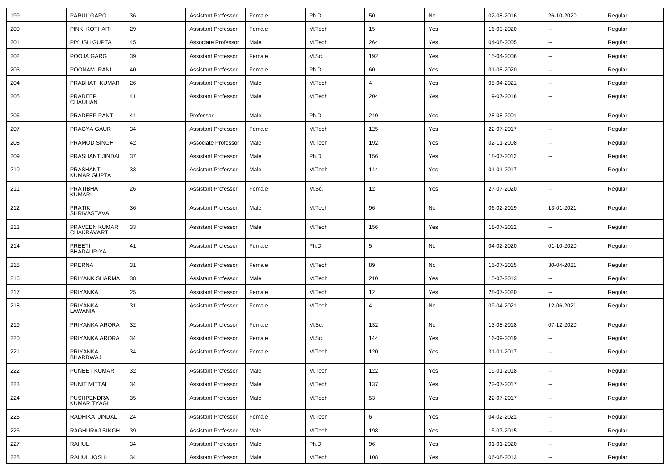| 199 | PARUL GARG                         | 36 | <b>Assistant Professor</b> | Female | Ph.D   | 50             | No  | 02-08-2016 | 26-10-2020               | Regular |
|-----|------------------------------------|----|----------------------------|--------|--------|----------------|-----|------------|--------------------------|---------|
| 200 | PINKI KOTHARI                      | 29 | <b>Assistant Professor</b> | Female | M.Tech | 15             | Yes | 16-03-2020 | --                       | Regular |
| 201 | PIYUSH GUPTA                       | 45 | Associate Professor        | Male   | M.Tech | 264            | Yes | 04-08-2005 |                          | Regular |
| 202 | POOJA GARG                         | 39 | <b>Assistant Professor</b> | Female | M.Sc.  | 192            | Yes | 15-04-2006 | $\overline{\phantom{a}}$ | Regular |
| 203 | POONAM RANI                        | 40 | <b>Assistant Professor</b> | Female | Ph.D   | 60             | Yes | 01-08-2020 | --                       | Regular |
| 204 | PRABHAT KUMAR                      | 26 | <b>Assistant Professor</b> | Male   | M.Tech | 4              | Yes | 05-04-2021 | $\overline{a}$           | Regular |
| 205 | PRADEEP<br>CHAUHAN                 | 41 | <b>Assistant Professor</b> | Male   | M.Tech | 204            | Yes | 19-07-2018 | $\overline{\phantom{a}}$ | Regular |
| 206 | PRADEEP PANT                       | 44 | Professor                  | Male   | Ph.D   | 240            | Yes | 28-08-2001 | $\overline{\phantom{a}}$ | Regular |
| 207 | PRAGYA GAUR                        | 34 | <b>Assistant Professor</b> | Female | M.Tech | 125            | Yes | 22-07-2017 | $\overline{\phantom{a}}$ | Regular |
| 208 | PRAMOD SINGH                       | 42 | Associate Professor        | Male   | M.Tech | 192            | Yes | 02-11-2008 | $\overline{a}$           | Regular |
| 209 | PRASHANT JINDAL                    | 37 | <b>Assistant Professor</b> | Male   | Ph.D   | 156            | Yes | 18-07-2012 | --                       | Regular |
| 210 | PRASHANT<br><b>KUMAR GUPTA</b>     | 33 | Assistant Professor        | Male   | M.Tech | 144            | Yes | 01-01-2017 | --                       | Regular |
| 211 | <b>PRATIBHA</b><br><b>KUMARI</b>   | 26 | <b>Assistant Professor</b> | Female | M.Sc.  | 12             | Yes | 27-07-2020 |                          | Regular |
| 212 | <b>PRATIK</b><br>SHRIVASTAVA       | 36 | <b>Assistant Professor</b> | Male   | M.Tech | 96             | No  | 06-02-2019 | 13-01-2021               | Regular |
| 213 | PRAVEEN KUMAR<br>CHAKRAVARTI       | 33 | Assistant Professor        | Male   | M.Tech | 156            | Yes | 18-07-2012 |                          | Regular |
| 214 | <b>PREETI</b><br><b>BHADAURIYA</b> | 41 | <b>Assistant Professor</b> | Female | Ph.D   | 5              | No  | 04-02-2020 | 01-10-2020               | Regular |
| 215 | PRERNA                             | 31 | <b>Assistant Professor</b> | Female | M.Tech | 89             | No  | 15-07-2015 | 30-04-2021               | Regular |
| 216 | PRIYANK SHARMA                     | 38 | <b>Assistant Professor</b> | Male   | M.Tech | 210            | Yes | 15-07-2013 |                          | Regular |
| 217 | PRIYANKA                           | 25 | <b>Assistant Professor</b> | Female | M.Tech | 12             | Yes | 28-07-2020 | $\overline{\phantom{a}}$ | Regular |
| 218 | PRIYANKA<br>LAWANIA                | 31 | <b>Assistant Professor</b> | Female | M.Tech | $\overline{4}$ | No  | 09-04-2021 | 12-06-2021               | Regular |
| 219 | PRIYANKA ARORA                     | 32 | <b>Assistant Professor</b> | Female | M.Sc.  | 132            | No  | 13-08-2018 | 07-12-2020               | Regular |
| 220 | PRIYANKA ARORA                     | 34 | <b>Assistant Professor</b> | Female | M.Sc.  | 144            | Yes | 16-09-2019 |                          | Regular |
| 221 | PRIYANKA<br><b>BHARDWAJ</b>        | 34 | <b>Assistant Professor</b> | Female | M.Tech | 120            | Yes | 31-01-2017 | --                       | Regular |
| 222 | PUNEET KUMAR                       | 32 | <b>Assistant Professor</b> | Male   | M.Tech | 122            | Yes | 19-01-2018 | Щ,                       | Regular |
| 223 | <b>PUNIT MITTAL</b>                | 34 | <b>Assistant Professor</b> | Male   | M.Tech | 137            | Yes | 22-07-2017 | $\overline{\phantom{a}}$ | Regular |
| 224 | PUSHPENDRA<br>KUMAR TYAGI          | 35 | <b>Assistant Professor</b> | Male   | M.Tech | 53             | Yes | 22-07-2017 | $\sim$                   | Regular |
| 225 | RADHIKA JINDAL                     | 24 | <b>Assistant Professor</b> | Female | M.Tech | 6              | Yes | 04-02-2021 | $\sim$                   | Regular |
| 226 | RAGHURAJ SINGH                     | 39 | <b>Assistant Professor</b> | Male   | M.Tech | 198            | Yes | 15-07-2015 | $\sim$                   | Regular |
| 227 | RAHUL                              | 34 | Assistant Professor        | Male   | Ph.D   | 96             | Yes | 01-01-2020 | н.                       | Regular |
| 228 | RAHUL JOSHI                        | 34 | Assistant Professor        | Male   | M.Tech | 108            | Yes | 06-08-2013 | $\sim$                   | Regular |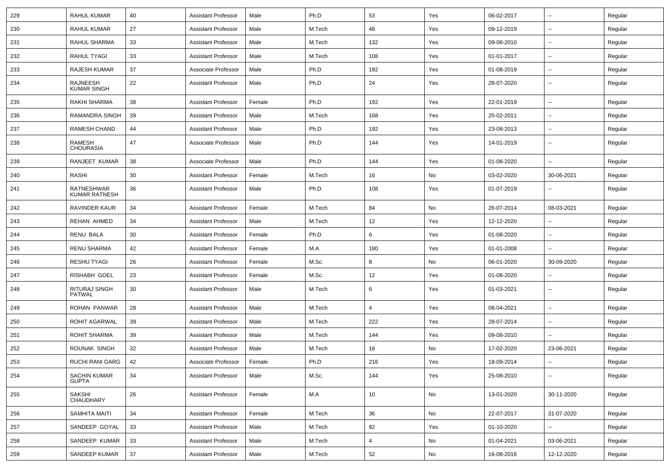| 229 | <b>RAHUL KUMAR</b>                  | 40 | <b>Assistant Professor</b> | Male   | Ph.D   | 53             | Yes | 06-02-2017 | $\sim$                   | Regular |
|-----|-------------------------------------|----|----------------------------|--------|--------|----------------|-----|------------|--------------------------|---------|
| 230 | RAHUL KUMAR                         | 27 | <b>Assistant Professor</b> | Male   | M.Tech | 48             | Yes | 09-12-2019 | ⊷.                       | Regular |
| 231 | RAHUL SHARMA                        | 33 | <b>Assistant Professor</b> | Male   | M.Tech | 132            | Yes | 09-08-2010 | --                       | Regular |
| 232 | RAHUL TYAGI                         | 33 | <b>Assistant Professor</b> | Male   | M.Tech | 108            | Yes | 01-01-2017 | --                       | Regular |
| 233 | RAJESH KUMAR                        | 37 | Associate Professor        | Male   | Ph.D   | 192            | Yes | 01-08-2019 | --                       | Regular |
| 234 | RAJNEESH<br><b>KUMAR SINGH</b>      | 22 | <b>Assistant Professor</b> | Male   | Ph.D   | 24             | Yes | 28-07-2020 | --                       | Regular |
| 235 | <b>RAKHI SHARMA</b>                 | 38 | <b>Assistant Professor</b> | Female | Ph.D   | 192            | Yes | 22-01-2019 | $\sim$                   | Regular |
| 236 | <b>RAMANDRA SINGH</b>               | 39 | <b>Assistant Professor</b> | Male   | M.Tech | 168            | Yes | 25-02-2011 | $\overline{\phantom{a}}$ | Regular |
| 237 | <b>RAMESH CHAND</b>                 | 44 | <b>Assistant Professor</b> | Male   | Ph.D   | 192            | Yes | 23-08-2013 | $\overline{\phantom{a}}$ | Regular |
| 238 | RAMESH<br><b>CHOURASIA</b>          | 47 | Associate Professor        | Male   | Ph.D   | 144            | Yes | 14-01-2019 | --                       | Regular |
| 239 | RANJEET KUMAR                       | 38 | Associate Professor        | Male   | Ph.D   | 144            | Yes | 01-08-2020 | $\overline{a}$           | Regular |
| 240 | <b>RASHI</b>                        | 30 | <b>Assistant Professor</b> | Female | M.Tech | 16             | No  | 03-02-2020 | 30-06-2021               | Regular |
| 241 | RATNESHWAR<br><b>KUMAR RATNESH</b>  | 36 | <b>Assistant Professor</b> | Male   | Ph.D   | 108            | Yes | 01-07-2019 |                          | Regular |
| 242 | RAVINDER KAUR                       | 34 | <b>Assistant Professor</b> | Female | M.Tech | 84             | No  | 26-07-2014 | 08-03-2021               | Regular |
| 243 | <b>REHAN AHMED</b>                  | 34 | Assistant Professor        | Male   | M.Tech | 12             | Yes | 12-12-2020 | $\overline{a}$           | Regular |
| 244 | <b>RENU BALA</b>                    | 30 | <b>Assistant Professor</b> | Female | Ph.D   | 6              | Yes | 01-08-2020 | $\sim$                   | Regular |
| 245 | RENU SHARMA                         | 42 | <b>Assistant Professor</b> | Female | M.A    | 180            | Yes | 01-01-2008 | ⊷.                       | Regular |
| 246 | <b>RESHU TYAGI</b>                  | 26 | <b>Assistant Professor</b> | Female | M.Sc.  | 8              | No  | 06-01-2020 | 30-09-2020               | Regular |
| 247 | RISHABH GOEL                        | 23 | <b>Assistant Professor</b> | Female | M.Sc.  | 12             | Yes | 01-08-2020 | --                       | Regular |
| 248 | RITURAJ SINGH<br><b>PATWAL</b>      | 30 | <b>Assistant Professor</b> | Male   | M.Tech | 6              | Yes | 01-03-2021 | --                       | Regular |
| 249 | ROHAN PANWAR                        | 28 | <b>Assistant Professor</b> | Male   | M.Tech | $\overline{4}$ | Yes | 08-04-2021 | --                       | Regular |
| 250 | ROHIT AGARWAL                       | 39 | <b>Assistant Professor</b> | Male   | M.Tech | 222            | Yes | 28-07-2014 | --                       | Regular |
| 251 | <b>ROHIT SHARMA</b>                 | 39 | <b>Assistant Professor</b> | Male   | M.Tech | 144            | Yes | 09-08-2010 | $\overline{\phantom{a}}$ | Regular |
| 252 | ROUNAK SINGH                        | 32 | <b>Assistant Professor</b> | Male   | M.Tech | 16             | No  | 17-02-2020 | 23-06-2021               | Regular |
| 253 | RUCHI RANI GARG                     | 42 | Associate Professor        | Female | Ph.D   | 216            | Yes | 18-09-2014 | $\sim$                   | Regular |
| 254 | <b>SACHIN KUMAR</b><br><b>GUPTA</b> | 34 | <b>Assistant Professor</b> | Male   | M.Sc.  | 144            | Yes | 25-08-2010 | --                       | Regular |
| 255 | <b>SAKSHI</b><br><b>CHAUDHARY</b>   | 26 | <b>Assistant Professor</b> | Female | M.A    | 10             | No  | 13-01-2020 | 30-11-2020               | Regular |
| 256 | SAMHITA MAITI                       | 34 | <b>Assistant Professor</b> | Female | M.Tech | 36             | No  | 22-07-2017 | 31-07-2020               | Regular |
| 257 | SANDEEP GOYAL                       | 33 | <b>Assistant Professor</b> | Male   | M.Tech | 82             | Yes | 01-10-2020 | $\overline{a}$           | Regular |
| 258 | SANDEEP KUMAR                       | 33 | <b>Assistant Professor</b> | Male   | M.Tech | 4              | No  | 01-04-2021 | 03-06-2021               | Regular |
| 259 | SANDEEP KUMAR                       | 37 | Assistant Professor        | Male   | M.Tech | 52             | No  | 16-08-2016 | 12-12-2020               | Regular |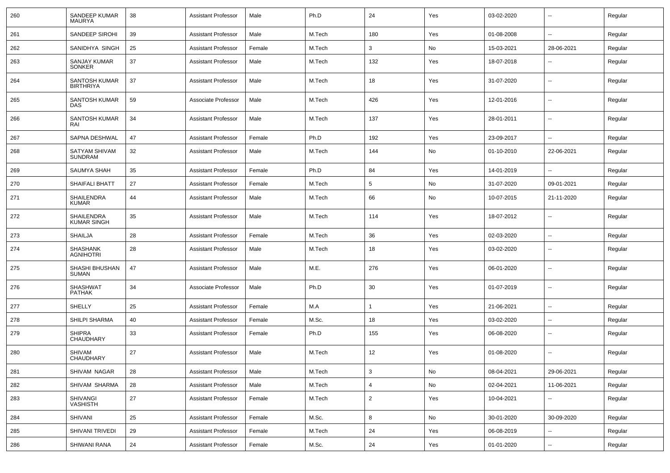| 260 | SANDEEP KUMAR<br><b>MAURYA</b>       | 38 | <b>Assistant Professor</b> | Male   | Ph.D   | 24              | Yes           | 03-02-2020 | --                       | Regular |
|-----|--------------------------------------|----|----------------------------|--------|--------|-----------------|---------------|------------|--------------------------|---------|
| 261 | SANDEEP SIROHI                       | 39 | <b>Assistant Professor</b> | Male   | M.Tech | 180             | Yes           | 01-08-2008 | $\overline{\phantom{a}}$ | Regular |
| 262 | SANIDHYA SINGH                       | 25 | <b>Assistant Professor</b> | Female | M.Tech | 3               | No            | 15-03-2021 | 28-06-2021               | Regular |
| 263 | <b>SANJAY KUMAR</b><br><b>SONKER</b> | 37 | <b>Assistant Professor</b> | Male   | M.Tech | 132             | Yes           | 18-07-2018 | --                       | Regular |
| 264 | SANTOSH KUMAR<br><b>BIRTHRIYA</b>    | 37 | <b>Assistant Professor</b> | Male   | M.Tech | 18              | Yes           | 31-07-2020 | --                       | Regular |
| 265 | SANTOSH KUMAR<br>DAS                 | 59 | Associate Professor        | Male   | M.Tech | 426             | Yes           | 12-01-2016 | --                       | Regular |
| 266 | SANTOSH KUMAR<br>RAI                 | 34 | <b>Assistant Professor</b> | Male   | M.Tech | 137             | Yes           | 28-01-2011 | --                       | Regular |
| 267 | SAPNA DESHWAL                        | 47 | <b>Assistant Professor</b> | Female | Ph.D   | 192             | Yes           | 23-09-2017 | --                       | Regular |
| 268 | SATYAM SHIVAM<br>SUNDRAM             | 32 | <b>Assistant Professor</b> | Male   | M.Tech | 144             | No            | 01-10-2010 | 22-06-2021               | Regular |
| 269 | <b>SAUMYA SHAH</b>                   | 35 | <b>Assistant Professor</b> | Female | Ph.D   | 84              | Yes           | 14-01-2019 | --                       | Regular |
| 270 | <b>SHAIFALI BHATT</b>                | 27 | <b>Assistant Professor</b> | Female | M.Tech | $5\phantom{.0}$ | No            | 31-07-2020 | 09-01-2021               | Regular |
| 271 | SHAILENDRA<br><b>KUMAR</b>           | 44 | <b>Assistant Professor</b> | Male   | M.Tech | 66              | No            | 10-07-2015 | 21-11-2020               | Regular |
| 272 | SHAILENDRA<br>KUMAR SINGH            | 35 | <b>Assistant Professor</b> | Male   | M.Tech | 114             | Yes           | 18-07-2012 | $\overline{\phantom{a}}$ | Regular |
| 273 | <b>SHAILJA</b>                       | 28 | <b>Assistant Professor</b> | Female | M.Tech | 36              | Yes           | 02-03-2020 | $\sim$                   | Regular |
| 274 | SHASHANK<br><b>AGNIHOTRI</b>         | 28 | <b>Assistant Professor</b> | Male   | M.Tech | 18              | Yes           | 03-02-2020 | --                       | Regular |
| 275 | SHASHI BHUSHAN<br><b>SUMAN</b>       | 47 | <b>Assistant Professor</b> | Male   | M.E.   | 276             | Yes           | 06-01-2020 | $\overline{\phantom{a}}$ | Regular |
| 276 | SHASHWAT<br><b>PATHAK</b>            | 34 | Associate Professor        | Male   | Ph.D   | 30              | Yes           | 01-07-2019 | $\overline{\phantom{a}}$ | Regular |
| 277 | <b>SHELLY</b>                        | 25 | <b>Assistant Professor</b> | Female | M.A    | $\mathbf{1}$    | Yes           | 21-06-2021 | $\overline{\phantom{a}}$ | Regular |
| 278 | SHILPI SHARMA                        | 40 | <b>Assistant Professor</b> | Female | M.Sc.  | 18              | Yes           | 03-02-2020 | $\sim$                   | Regular |
| 279 | <b>SHIPRA</b><br>CHAUDHARY           | 33 | <b>Assistant Professor</b> | Female | Ph.D   | 155             | Yes           | 06-08-2020 | --                       | Regular |
| 280 | SHIVAM<br><b>CHAUDHARY</b>           | 27 | <b>Assistant Professor</b> | Male   | M.Tech | 12              | Yes           | 01-08-2020 | $\overline{\phantom{a}}$ | Regular |
| 281 | SHIVAM NAGAR                         | 28 | <b>Assistant Professor</b> | Male   | M.Tech | $\mathbf{3}$    | $\mathsf{No}$ | 08-04-2021 | 29-06-2021               | Regular |
| 282 | SHIVAM SHARMA                        | 28 | <b>Assistant Professor</b> | Male   | M.Tech | $\overline{4}$  | No            | 02-04-2021 | 11-06-2021               | Regular |
| 283 | SHIVANGI<br>VASHISTH                 | 27 | <b>Assistant Professor</b> | Female | M.Tech | $\overline{2}$  | Yes           | 10-04-2021 | Ξ.                       | Regular |
| 284 | SHIVANI                              | 25 | <b>Assistant Professor</b> | Female | M.Sc.  | 8               | No            | 30-01-2020 | 30-09-2020               | Regular |
| 285 | SHIVANI TRIVEDI                      | 29 | <b>Assistant Professor</b> | Female | M.Tech | 24              | Yes           | 06-08-2019 | Ξ.                       | Regular |
| 286 | SHIWANI RANA                         | 24 | <b>Assistant Professor</b> | Female | M.Sc.  | 24              | Yes           | 01-01-2020 | $\overline{\phantom{a}}$ | Regular |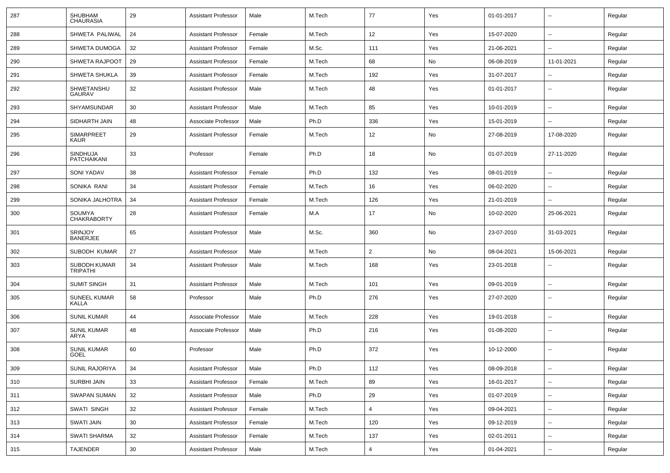| 287 | <b>SHUBHAM</b><br><b>CHAURASIA</b>  | 29 | <b>Assistant Professor</b> | Male   | M.Tech | 77             | Yes | 01-01-2017 | $\overline{\phantom{a}}$ | Regular |
|-----|-------------------------------------|----|----------------------------|--------|--------|----------------|-----|------------|--------------------------|---------|
| 288 | SHWETA PALIWAL                      | 24 | <b>Assistant Professor</b> | Female | M.Tech | 12             | Yes | 15-07-2020 | ⊷.                       | Regular |
| 289 | SHWETA DUMOGA                       | 32 | <b>Assistant Professor</b> | Female | M.Sc.  | 111            | Yes | 21-06-2021 | --                       | Regular |
| 290 | <b>SHWETA RAJPOOT</b>               | 29 | <b>Assistant Professor</b> | Female | M.Tech | 68             | No  | 06-08-2019 | 11-01-2021               | Regular |
| 291 | <b>SHWETA SHUKLA</b>                | 39 | <b>Assistant Professor</b> | Female | M.Tech | 192            | Yes | 31-07-2017 | ۵.                       | Regular |
| 292 | SHWETANSHU<br>GAURAV                | 32 | <b>Assistant Professor</b> | Male   | M.Tech | 48             | Yes | 01-01-2017 | --                       | Regular |
| 293 | SHYAMSUNDAR                         | 30 | <b>Assistant Professor</b> | Male   | M.Tech | 85             | Yes | 10-01-2019 | $\overline{\phantom{a}}$ | Regular |
| 294 | SIDHARTH JAIN                       | 48 | Associate Professor        | Male   | Ph.D   | 336            | Yes | 15-01-2019 | $\overline{\phantom{a}}$ | Regular |
| 295 | SIMARPREET<br><b>KAUR</b>           | 29 | <b>Assistant Professor</b> | Female | M.Tech | 12             | No  | 27-08-2019 | 17-08-2020               | Regular |
| 296 | SINDHUJA<br><b>PATCHAIKANI</b>      | 33 | Professor                  | Female | Ph.D   | 18             | No  | 01-07-2019 | 27-11-2020               | Regular |
| 297 | <b>SONI YADAV</b>                   | 38 | <b>Assistant Professor</b> | Female | Ph.D   | 132            | Yes | 08-01-2019 | ⊷.                       | Regular |
| 298 | SONIKA RANI                         | 34 | <b>Assistant Professor</b> | Female | M.Tech | 16             | Yes | 06-02-2020 | --                       | Regular |
| 299 | SONIKA JALHOTRA                     | 34 | <b>Assistant Professor</b> | Female | M.Tech | 126            | Yes | 21-01-2019 | --                       | Regular |
| 300 | SOUMYA<br><b>CHAKRABORTY</b>        | 28 | <b>Assistant Professor</b> | Female | M.A    | 17             | No  | 10-02-2020 | 25-06-2021               | Regular |
| 301 | <b>SRINJOY</b><br><b>BANERJEE</b>   | 65 | <b>Assistant Professor</b> | Male   | M.Sc.  | 360            | No  | 23-07-2010 | 31-03-2021               | Regular |
| 302 | SUBODH KUMAR                        | 27 | <b>Assistant Professor</b> | Male   | M.Tech | $\overline{2}$ | No  | 08-04-2021 | 15-06-2021               | Regular |
| 303 | SUBODH KUMAR<br><b>TRIPATHI</b>     | 34 | <b>Assistant Professor</b> | Male   | M.Tech | 168            | Yes | 23-01-2018 | --                       | Regular |
| 304 | <b>SUMIT SINGH</b>                  | 31 | <b>Assistant Professor</b> | Male   | M.Tech | 101            | Yes | 09-01-2019 | --                       | Regular |
| 305 | <b>SUNEEL KUMAR</b><br><b>KALLA</b> | 58 | Professor                  | Male   | Ph.D   | 276            | Yes | 27-07-2020 | $\overline{\phantom{a}}$ | Regular |
| 306 | <b>SUNIL KUMAR</b>                  | 44 | Associate Professor        | Male   | M.Tech | 228            | Yes | 19-01-2018 | $\overline{\phantom{a}}$ | Regular |
| 307 | <b>SUNIL KUMAR</b><br>ARYA          | 48 | Associate Professor        | Male   | Ph.D   | 216            | Yes | 01-08-2020 | $\overline{\phantom{a}}$ | Regular |
| 308 | <b>SUNIL KUMAR</b><br>GOEL          | 60 | Professor                  | Male   | Ph.D   | 372            | Yes | 10-12-2000 | $\overline{\phantom{a}}$ | Regular |
| 309 | SUNIL RAJORIYA                      | 34 | Assistant Professor        | Male   | Ph.D   | 112            | Yes | 08-09-2018 | $\sim$                   | Regular |
| 310 | SURBHI JAIN                         | 33 | <b>Assistant Professor</b> | Female | M.Tech | 89             | Yes | 16-01-2017 | $\sim$                   | Regular |
| 311 | SWAPAN SUMAN                        | 32 | <b>Assistant Professor</b> | Male   | Ph.D   | 29             | Yes | 01-07-2019 | $\sim$                   | Regular |
| 312 | SWATI SINGH                         | 32 | <b>Assistant Professor</b> | Female | M.Tech | 4              | Yes | 09-04-2021 | $\overline{\phantom{a}}$ | Regular |
| 313 | SWATI JAIN                          | 30 | <b>Assistant Professor</b> | Female | M.Tech | 120            | Yes | 09-12-2019 |                          | Regular |
| 314 | <b>SWATI SHARMA</b>                 | 32 | <b>Assistant Professor</b> | Female | M.Tech | 137            | Yes | 02-01-2011 | Щ,                       | Regular |
| 315 | TAJENDER                            | 30 | <b>Assistant Professor</b> | Male   | M.Tech | 4              | Yes | 01-04-2021 | $\overline{\phantom{a}}$ | Regular |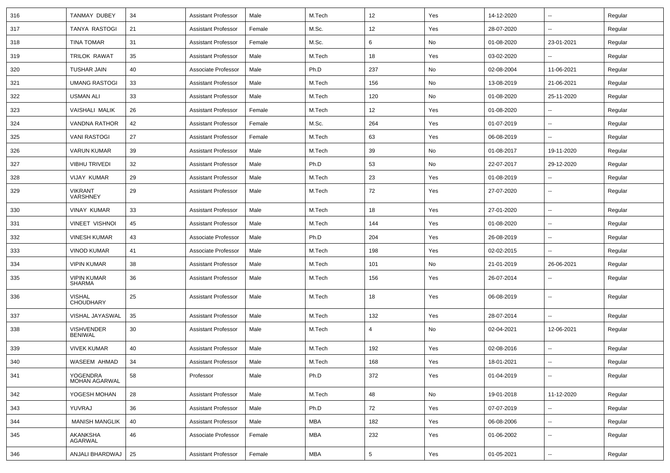| 316 | <b>TANMAY DUBEY</b>                 | 34 | <b>Assistant Professor</b> | Male   | M.Tech     | 12  | Yes | 14-12-2020 | ⊶.                       | Regular |
|-----|-------------------------------------|----|----------------------------|--------|------------|-----|-----|------------|--------------------------|---------|
| 317 | TANYA RASTOGI                       | 21 | <b>Assistant Professor</b> | Female | M.Sc.      | 12  | Yes | 28-07-2020 | -−                       | Regular |
| 318 | TINA TOMAR                          | 31 | <b>Assistant Professor</b> | Female | M.Sc.      | 6   | No  | 01-08-2020 | 23-01-2021               | Regular |
| 319 | TRILOK RAWAT                        | 35 | <b>Assistant Professor</b> | Male   | M.Tech     | 18  | Yes | 03-02-2020 |                          | Regular |
| 320 | <b>TUSHAR JAIN</b>                  | 40 | Associate Professor        | Male   | Ph.D       | 237 | No  | 02-08-2004 | 11-06-2021               | Regular |
| 321 | <b>UMANG RASTOGI</b>                | 33 | <b>Assistant Professor</b> | Male   | M.Tech     | 156 | No  | 13-08-2019 | 21-06-2021               | Regular |
| 322 | USMAN ALI                           | 33 | <b>Assistant Professor</b> | Male   | M.Tech     | 120 | No  | 01-08-2020 | 25-11-2020               | Regular |
| 323 | VAISHALI MALIK                      | 26 | <b>Assistant Professor</b> | Female | M.Tech     | 12  | Yes | 01-08-2020 | -−                       | Regular |
| 324 | <b>VANDNA RATHOR</b>                | 42 | <b>Assistant Professor</b> | Female | M.Sc.      | 264 | Yes | 01-07-2019 | н.                       | Regular |
| 325 | <b>VANI RASTOGI</b>                 | 27 | <b>Assistant Professor</b> | Female | M.Tech     | 63  | Yes | 06-08-2019 | $\overline{\phantom{a}}$ | Regular |
| 326 | <b>VARUN KUMAR</b>                  | 39 | <b>Assistant Professor</b> | Male   | M.Tech     | 39  | No  | 01-08-2017 | 19-11-2020               | Regular |
| 327 | <b>VIBHU TRIVEDI</b>                | 32 | <b>Assistant Professor</b> | Male   | Ph.D       | 53  | No  | 22-07-2017 | 29-12-2020               | Regular |
| 328 | <b>VIJAY KUMAR</b>                  | 29 | <b>Assistant Professor</b> | Male   | M.Tech     | 23  | Yes | 01-08-2019 | --                       | Regular |
| 329 | <b>VIKRANT</b><br>VARSHNEY          | 29 | <b>Assistant Professor</b> | Male   | M.Tech     | 72  | Yes | 27-07-2020 | -−                       | Regular |
| 330 | <b>VINAY KUMAR</b>                  | 33 | <b>Assistant Professor</b> | Male   | M.Tech     | 18  | Yes | 27-01-2020 | −−                       | Regular |
| 331 | <b>VINEET VISHNOI</b>               | 45 | <b>Assistant Professor</b> | Male   | M.Tech     | 144 | Yes | 01-08-2020 | н.                       | Regular |
| 332 | <b>VINESH KUMAR</b>                 | 43 | Associate Professor        | Male   | Ph.D       | 204 | Yes | 26-08-2019 | $\overline{\phantom{a}}$ | Regular |
| 333 | <b>VINOD KUMAR</b>                  | 41 | Associate Professor        | Male   | M.Tech     | 198 | Yes | 02-02-2015 |                          | Regular |
| 334 | <b>VIPIN KUMAR</b>                  | 38 | <b>Assistant Professor</b> | Male   | M.Tech     | 101 | No  | 21-01-2019 | 26-06-2021               | Regular |
| 335 | <b>VIPIN KUMAR</b><br>SHARMA        | 36 | <b>Assistant Professor</b> | Male   | M.Tech     | 156 | Yes | 26-07-2014 | $\overline{\phantom{a}}$ | Regular |
| 336 | <b>VISHAL</b><br><b>CHOUDHARY</b>   | 25 | <b>Assistant Professor</b> | Male   | M.Tech     | 18  | Yes | 06-08-2019 | ⊷.                       | Regular |
| 337 | VISHAL JAYASWAL                     | 35 | <b>Assistant Professor</b> | Male   | M.Tech     | 132 | Yes | 28-07-2014 | $\sim$                   | Regular |
| 338 | <b>VISHVENDER</b><br><b>BENIWAL</b> | 30 | <b>Assistant Professor</b> | Male   | M.Tech     | 4   | No  | 02-04-2021 | 12-06-2021               | Regular |
| 339 | <b>VIVEK KUMAR</b>                  | 40 | <b>Assistant Professor</b> | Male   | M.Tech     | 192 | Yes | 02-08-2016 | н.                       | Regular |
| 340 | WASEEM AHMAD                        | 34 | <b>Assistant Professor</b> | Male   | M.Tech     | 168 | Yes | 18-01-2021 | ⊷.                       | Regular |
| 341 | <b>YOGENDRA</b><br>MOHAN AGARWAL    | 58 | Professor                  | Male   | Ph.D       | 372 | Yes | 01-04-2019 | --                       | Regular |
| 342 | YOGESH MOHAN                        | 28 | <b>Assistant Professor</b> | Male   | M.Tech     | 48  | No  | 19-01-2018 | 11-12-2020               | Regular |
| 343 | YUVRAJ                              | 36 | <b>Assistant Professor</b> | Male   | Ph.D       | 72  | Yes | 07-07-2019 | -−                       | Regular |
| 344 | <b>MANISH MANGLIK</b>               | 40 | <b>Assistant Professor</b> | Male   | <b>MBA</b> | 182 | Yes | 06-08-2006 | ш.                       | Regular |
| 345 | AKANKSHA<br>AGARWAL                 | 46 | Associate Professor        | Female | <b>MBA</b> | 232 | Yes | 01-06-2002 | $\overline{\phantom{a}}$ | Regular |
| 346 | ANJALI BHARDWAJ                     | 25 | <b>Assistant Professor</b> | Female | <b>MBA</b> | 5   | Yes | 01-05-2021 | $\overline{\phantom{a}}$ | Regular |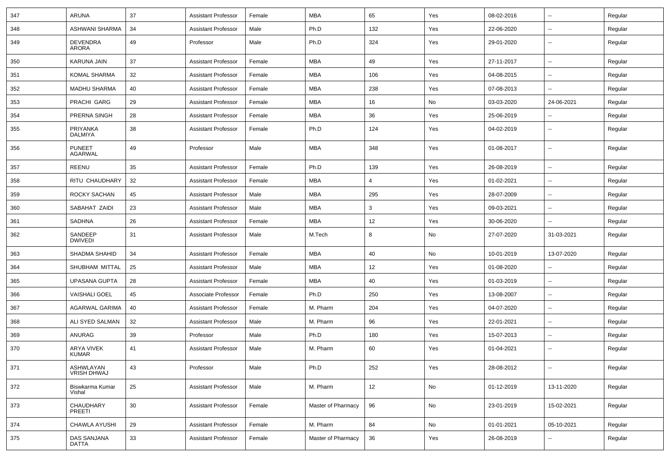| 347 | ARUNA                           | 37 | <b>Assistant Professor</b> | Female | <b>MBA</b>         | 65  | Yes | 08-02-2016 | $\overline{\phantom{a}}$ | Regular |
|-----|---------------------------------|----|----------------------------|--------|--------------------|-----|-----|------------|--------------------------|---------|
| 348 | ASHWANI SHARMA                  | 34 | <b>Assistant Professor</b> | Male   | Ph.D               | 132 | Yes | 22-06-2020 | $\overline{\phantom{a}}$ | Regular |
| 349 | <b>DEVENDRA</b><br>ARORA        | 49 | Professor                  | Male   | Ph.D               | 324 | Yes | 29-01-2020 | ۰.                       | Regular |
| 350 | KARUNA JAIN                     | 37 | <b>Assistant Professor</b> | Female | <b>MBA</b>         | 49  | Yes | 27-11-2017 | $\overline{\phantom{a}}$ | Regular |
| 351 | KOMAL SHARMA                    | 32 | <b>Assistant Professor</b> | Female | <b>MBA</b>         | 106 | Yes | 04-08-2015 | --                       | Regular |
| 352 | <b>MADHU SHARMA</b>             | 40 | <b>Assistant Professor</b> | Female | <b>MBA</b>         | 238 | Yes | 07-08-2013 | $\overline{\phantom{a}}$ | Regular |
| 353 | PRACHI GARG                     | 29 | <b>Assistant Professor</b> | Female | <b>MBA</b>         | 16  | No  | 03-03-2020 | 24-06-2021               | Regular |
| 354 | PRERNA SINGH                    | 28 | <b>Assistant Professor</b> | Female | <b>MBA</b>         | 36  | Yes | 25-06-2019 | $\overline{\phantom{a}}$ | Regular |
| 355 | PRIYANKA<br><b>DALMIYA</b>      | 38 | <b>Assistant Professor</b> | Female | Ph.D               | 124 | Yes | 04-02-2019 | $\overline{a}$           | Regular |
| 356 | <b>PUNEET</b><br><b>AGARWAL</b> | 49 | Professor                  | Male   | <b>MBA</b>         | 348 | Yes | 01-08-2017 | $\overline{\phantom{a}}$ | Regular |
| 357 | REENU                           | 35 | <b>Assistant Professor</b> | Female | Ph.D               | 139 | Yes | 26-08-2019 | $\sim$                   | Regular |
| 358 | RITU CHAUDHARY                  | 32 | <b>Assistant Professor</b> | Female | <b>MBA</b>         | 4   | Yes | 01-02-2021 | --                       | Regular |
| 359 | ROCKY SACHAN                    | 45 | <b>Assistant Professor</b> | Male   | <b>MBA</b>         | 295 | Yes | 28-07-2009 | $\sim$                   | Regular |
| 360 | SABAHAT ZAIDI                   | 23 | <b>Assistant Professor</b> | Male   | <b>MBA</b>         | 3   | Yes | 09-03-2021 | $\sim$                   | Regular |
| 361 | SADHNA                          | 26 | <b>Assistant Professor</b> | Female | <b>MBA</b>         | 12  | Yes | 30-06-2020 | $\overline{\phantom{a}}$ | Regular |
| 362 | SANDEEP<br><b>DWIVEDI</b>       | 31 | <b>Assistant Professor</b> | Male   | M.Tech             | 8   | No  | 27-07-2020 | 31-03-2021               | Regular |
| 363 | <b>SHADMA SHAHID</b>            | 34 | <b>Assistant Professor</b> | Female | <b>MBA</b>         | 40  | No  | 10-01-2019 | 13-07-2020               | Regular |
| 364 | SHUBHAM MITTAL                  | 25 | <b>Assistant Professor</b> | Male   | <b>MBA</b>         | 12  | Yes | 01-08-2020 | $\sim$                   | Regular |
| 365 | UPASANA GUPTA                   | 28 | <b>Assistant Professor</b> | Female | <b>MBA</b>         | 40  | Yes | 01-03-2019 | --                       | Regular |
| 366 | <b>VAISHALI GOEL</b>            | 45 | Associate Professor        | Female | Ph.D               | 250 | Yes | 13-08-2007 | $\sim$                   | Regular |
| 367 | AGARWAL GARIMA                  | 40 | <b>Assistant Professor</b> | Female | M. Pharm           | 204 | Yes | 04-07-2020 | $\overline{\phantom{a}}$ | Regular |
| 368 | ALI SYED SALMAN                 | 32 | <b>Assistant Professor</b> | Male   | M. Pharm           | 96  | Yes | 22-01-2021 | $\sim$                   | Regular |
| 369 | ANURAG                          | 39 | Professor                  | Male   | Ph.D               | 180 | Yes | 15-07-2013 | $\overline{\phantom{a}}$ | Regular |
| 370 | ARYA VIVEK<br><b>KUMAR</b>      | 41 | <b>Assistant Professor</b> | Male   | M. Pharm           | 60  | Yes | 01-04-2021 | $\sim$                   | Regular |
| 371 | ASHWLAYAN<br>VRISH DHWAJ        | 43 | Professor                  | Male   | Ph.D               | 252 | Yes | 28-08-2012 | $\overline{\phantom{a}}$ | Regular |
| 372 | Biswkarma Kumar<br>Vishal       | 25 | <b>Assistant Professor</b> | Male   | M. Pharm           | 12  | No  | 01-12-2019 | 13-11-2020               | Regular |
| 373 | CHAUDHARY<br>PREETI             | 30 | <b>Assistant Professor</b> | Female | Master of Pharmacy | 96  | No  | 23-01-2019 | 15-02-2021               | Regular |
| 374 | CHAWLA AYUSHI                   | 29 | <b>Assistant Professor</b> | Female | M. Pharm           | 84  | No  | 01-01-2021 | 05-10-2021               | Regular |
| 375 | DAS SANJANA<br>DATTA            | 33 | <b>Assistant Professor</b> | Female | Master of Pharmacy | 36  | Yes | 26-08-2019 | --                       | Regular |